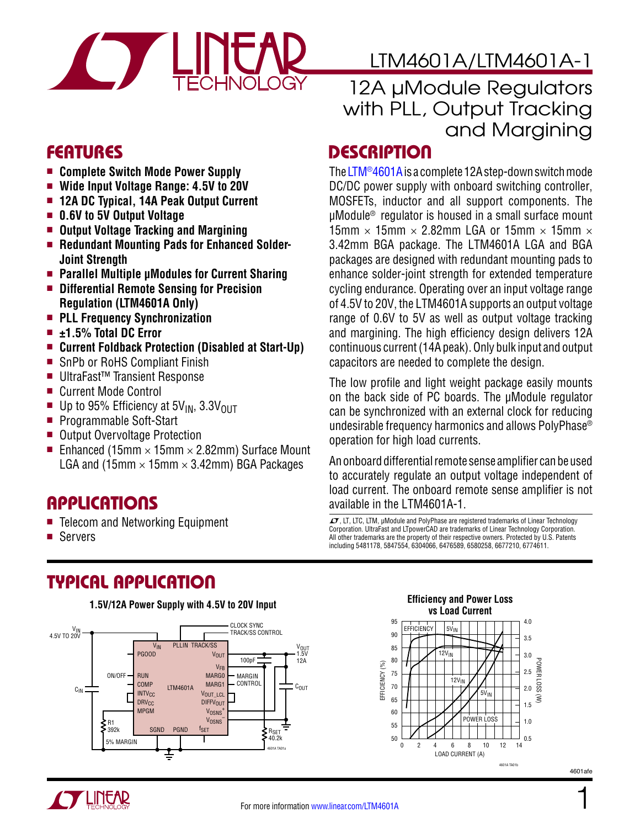

### FEATURES

- **E** Complete Switch Mode Power Supply
- $\blacksquare$  Wide Input Voltage Range: 4.5V to 20V
- **n 12A DC Typical, 14A Peak Output Current**
- <sup>n</sup> **0.6V to 5V Output Voltage**
- <sup>n</sup> **Output Voltage Tracking and Margining**
- **Example 3 Redundant Mounting Pads for Enhanced Solder-Joint Strength**
- Parallel Multiple **µModules** for Current Sharing
- **n** Differential Remote Sensing for Precision **Regulation (LTM4601A Only)**
- **n** PLL Frequency Synchronization
- <sup>n</sup> **±1.5% Total DC Error**
- Current Foldback Protection (Disabled at Start-Up)
- SnPb or RoHS Compliant Finish
- UltraFast<sup>™</sup> Transient Response
- Current Mode Control
- Up to 95% Efficiency at  $5V_{IN}$ ,  $3.3V_{OUT}$ <br>Programmable Soft-Start
- Programmable Soft-Start
- Output Overvoltage Protection
- Enhanced (15mm  $\times$  15mm  $\times$  2.82mm) Surface Mount LGA and (15mm  $\times$  15mm  $\times$  3.42mm) BGA Packages

### **APPLICATIONS**

- Telecom and Networking Equipment
- **n** Servers

# TYPICAL APPLICATION



# LTM4601A/LTM4601A-1

### 12A µModule Regulators with PLL, Output Tracking and Margining

### **DESCRIPTION**

The  $LTM@4601A$  is a complete 12A step-down switch mode DC/DC power supply with onboard switching controller, MOSFETs, inductor and all support components. The µModule® regulator is housed in a small surface mount 15mm  $\times$  15mm  $\times$  2.82mm LGA or 15mm  $\times$  15mm  $\times$ 3.42mm BGA package. The LTM4601A LGA and BGA packages are designed with redundant mounting pads to enhance solder-joint strength for extended temperature cycling endurance. Operating over an input voltage range of 4.5V to 20V, the LTM4601A supports an output voltage range of 0.6V to 5V as well as output voltage tracking and margining. The high efficiency design delivers 12A continuous current (14A peak). Only bulk input and output capacitors are needed to complete the design.

The low profile and light weight package easily mounts on the back side of PC boards. The µModule regulator can be synchronized with an external clock for reducing undesirable frequency harmonics and allows PolyPhase® operation for high load currents.

An onboard differential remote sense amplifier can be used to accurately regulate an output voltage independent of load current. The onboard remote sense amplifier is not available in the LTM4601A-1.

 $LT$ , LT, LTC, LTM, µModule and PolyPhase are registered trademarks of Linear Technology Corporation. UltraFast and LTpowerCAD are trademarks of Linear Technology Corporation. All other trademarks are the property of their respective owners. Protected by U.S. Patents including 5481178, 5847554, 6304066, 6476589, 6580258, 6677210, 6774611.





1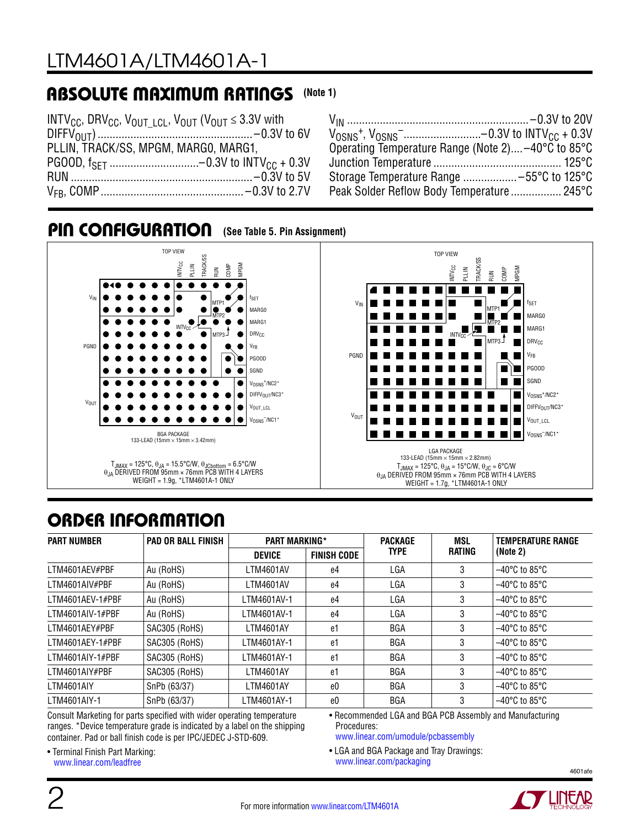### ABSOLUTE MAXIMUM RATINGS **(Note 1)**

| INTV <sub>CC</sub> , DRV <sub>CC</sub> , V <sub>OUT LCL</sub> , V <sub>OUT</sub> (V <sub>OUT</sub> $\leq$ 3.3V with |  |
|---------------------------------------------------------------------------------------------------------------------|--|
|                                                                                                                     |  |
| PLLIN, TRACK/SS, MPGM, MARGO, MARG1,                                                                                |  |
|                                                                                                                     |  |
|                                                                                                                     |  |
|                                                                                                                     |  |

| $V_{OSNS}$ <sup>+</sup> , $V_{OSNS}$ <sup>-</sup> -0.3V to INTV <sub>CC</sub> + 0.3V |
|--------------------------------------------------------------------------------------|
| Operating Temperature Range (Note 2) -40°C to 85°C                                   |
|                                                                                      |
|                                                                                      |
| Peak Solder Reflow Body Temperature 245°C                                            |
|                                                                                      |



#### **(See Table 5. Pin Assignment)** PIN CONFIGURATION

# ORDER INFORMATION

| <b>PART NUMBER</b> | <b>PAD OR BALL FINISH</b> | <b>PART MARKING*</b>                |    | <b>PACKAGE</b> | MSL    | <b>TEMPERATURE RANGE</b>           |
|--------------------|---------------------------|-------------------------------------|----|----------------|--------|------------------------------------|
|                    |                           | <b>FINISH CODE</b><br><b>DEVICE</b> |    | <b>TYPE</b>    | RATING | (Note 2)                           |
| LTM4601AEV#PBF     | Au (RoHS)                 | LTM4601AV                           | e4 | LGA            | 3      | $-40^{\circ}$ C to 85 $^{\circ}$ C |
| LTM4601AIV#PBF     | Au (RoHS)                 | LTM4601AV                           | e4 | LGA            | 3      | $-40^{\circ}$ C to 85 $^{\circ}$ C |
| LTM4601AEV-1#PBF   | Au (RoHS)                 | LTM4601AV-1                         | e4 | LGA            | 3      | $-40^{\circ}$ C to 85 $^{\circ}$ C |
| LTM4601AIV-1#PBF   | Au (RoHS)                 | LTM4601AV-1                         | e4 | LGA            | 3      | $-40^{\circ}$ C to 85 $^{\circ}$ C |
| LTM4601AEY#PBF     | SAC305 (RoHS)             | LTM4601AY                           | e1 | <b>BGA</b>     | 3      | $-40^{\circ}$ C to 85 $^{\circ}$ C |
| LTM4601AEY-1#PBF   | SAC305 (RoHS)             | LTM4601AY-1                         | e1 | <b>BGA</b>     | 3      | $-40^{\circ}$ C to 85 $^{\circ}$ C |
| LTM4601AIY-1#PBF   | SAC305 (RoHS)             | LTM4601AY-1                         | e1 | <b>BGA</b>     | 3      | $-40^{\circ}$ C to 85 $^{\circ}$ C |
| LTM4601AIY#PBF     | SAC305 (RoHS)             | LTM4601AY                           | e1 | <b>BGA</b>     | 3      | $-40^{\circ}$ C to 85 $^{\circ}$ C |
| LTM4601AIY         | SnPb (63/37)              | LTM4601AY                           | e0 | <b>BGA</b>     | 3      | $-40^{\circ}$ C to 85 $^{\circ}$ C |
| LTM4601AIY-1       | SnPb (63/37)              | LTM4601AY-1                         | e0 | <b>BGA</b>     | 3      | $-40^{\circ}$ C to 85 $^{\circ}$ C |

Consult Marketing for parts specified with wider operating temperature ranges. \*Device temperature grade is indicated by a label on the shipping container. Pad or ball finish code is per IPC/JEDEC J-STD-609.

• Recommended LGA and BGA PCB Assembly and Manufacturing Procedures:

[www.linear.com/umodule/pcbassembly](http://www.linear.com/umodule/pcbassembly)

• LGA and BGA Package and Tray Drawings: [www.linear.com/packaging](http://www.linear.com/packaging)

• Terminal Finish Part Marking: [www.linear.com/leadfree](http://www.linear.com/leadfree)



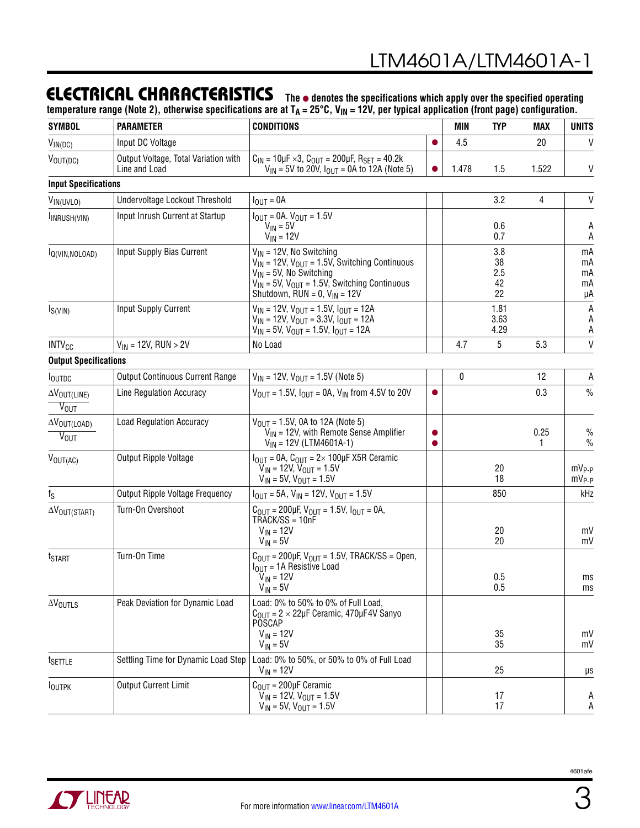### ELECTRICAL CHARACTERISTICS

**The** l **denotes the specifications which apply over the specified operating**  temperature range (Note 2), otherwise specifications are at T<sub>A</sub> = 25°C, V<sub>IN</sub> = 12V, per typical application (front page) configuration.

| <b>SYMBOL</b>                                         | <b>PARAMETER</b>                                      | <b>CONDITIONS</b>                                                                                                                                                                                                      | MIN | <b>TYP</b>   | MAX                          | <b>UNITS</b> |                            |
|-------------------------------------------------------|-------------------------------------------------------|------------------------------------------------------------------------------------------------------------------------------------------------------------------------------------------------------------------------|-----|--------------|------------------------------|--------------|----------------------------|
| $V_{IN(DC)}$                                          | Input DC Voltage                                      |                                                                                                                                                                                                                        |     | 4.5          |                              | 20           | $\vee$                     |
| $V_{\text{OUT(DC)}}$                                  | Output Voltage, Total Variation with<br>Line and Load | $C_{1N} = 10 \mu F \times 3$ , $C_{0UT} = 200 \mu F$ , $R_{SET} = 40.2 k$<br>$V_{IN}$ = 5V to 20V, $I_{OUT}$ = 0A to 12A (Note 5)                                                                                      |     | 1.478        | 1.5                          | 1.522        | V                          |
| <b>Input Specifications</b>                           |                                                       |                                                                                                                                                                                                                        |     |              |                              |              |                            |
| VIN(UVLO)                                             | Undervoltage Lockout Threshold                        | $I_{OUT} = 0A$                                                                                                                                                                                                         |     |              | 3.2                          | 4            | V                          |
| INRUSH(VIN)                                           | Input Inrush Current at Startup                       | $I_{\text{OUT}} = 0A$ . $V_{\text{OUT}} = 1.5V$<br>$V_{IN} = 5V$<br>$V_{IN}$ = 12V                                                                                                                                     |     |              | 0.6<br>0.7                   |              | A<br>A                     |
| IQ(VIN, NOLOAD)                                       | Input Supply Bias Current                             | $V_{IN}$ = 12V, No Switching<br>$V_{IN}$ = 12V, $V_{OUT}$ = 1.5V, Switching Continuous<br>$V_{IN}$ = 5V, No Switching<br>$V_{IN}$ = 5V, $V_{OUT}$ = 1.5V, Switching Continuous<br>Shutdown, RUN = $0$ , $V_{IN}$ = 12V |     |              | 3.8<br>38<br>2.5<br>42<br>22 |              | mA<br>mA<br>mA<br>mA<br>μA |
| $I_{S(VIN)}$                                          | <b>Input Supply Current</b>                           | $V_{IN}$ = 12V, $V_{OUT}$ = 1.5V, $I_{OUT}$ = 12A<br>$V_{IN}$ = 12V, $V_{OUT}$ = 3.3V, $I_{OUT}$ = 12A<br>$V_{IN}$ = 5V, $V_{OUT}$ = 1.5V, $I_{OUT}$ = 12A                                                             |     |              | 1.81<br>3.63<br>4.29         |              | А<br>Α<br>A                |
| INTV <sub>CC</sub>                                    | $V_{IN}$ = 12V, RUN > 2V                              | No Load                                                                                                                                                                                                                |     | 4.7          | 5                            | 5.3          | $\mathsf{V}$               |
| <b>Output Specifications</b>                          |                                                       |                                                                                                                                                                                                                        |     |              |                              |              |                            |
| <b>I</b> OUTDC                                        | <b>Output Continuous Current Range</b>                | $V_{IN}$ = 12V, $V_{OUT}$ = 1.5V (Note 5)                                                                                                                                                                              |     | $\mathbf{0}$ |                              | 12           | A                          |
| $\Delta V_{\text{OUT(LINE)}}$<br>$\overline{V_{OUT}}$ | Line Regulation Accuracy                              | $V_{OUIT} = 1.5V$ , $I_{OUIT} = 0A$ , $V_{IN}$ from 4.5V to 20V                                                                                                                                                        |     |              |                              | 0.3          | $\%$                       |
| $\Delta V_{\text{OUT(LOAD)}}$<br>$V_{OUT}$            | <b>Load Regulation Accuracy</b>                       | $V_{\text{OUT}} = 1.5V$ , 0A to 12A (Note 5)<br>$V_{IN}$ = 12V, with Remote Sense Amplifier<br>$V_{IN}$ = 12V (LTM4601A-1)                                                                                             |     |              |                              | 0.25<br>1.   | $\%$<br>$\%$               |
| $V_{\text{OUT(AC)}}$                                  | Output Ripple Voltage                                 | $I_{\text{OUT}}$ = 0A, $C_{\text{OUT}}$ = 2× 100µF X5R Ceramic<br>$V_{IN}$ = 12V, $V_{OUT}$ = 1.5V<br>$V_{IN}$ = 5V, $V_{OUT}$ = 1.5V                                                                                  |     |              | 20<br>18                     |              | $MV_{P-P}$<br>$mV_{P-P}$   |
| $f_S$                                                 | <b>Output Ripple Voltage Frequency</b>                | $I_{\text{OUT}} = 5A$ , $V_{\text{IN}} = 12V$ , $V_{\text{OUT}} = 1.5V$                                                                                                                                                |     |              | 850                          |              | kHz                        |
| $\Delta V_{\text{OUT}(START)}$                        | Turn-On Overshoot                                     | $C_{\text{OUT}} = 200 \mu F$ , $V_{\text{OUT}} = 1.5 V$ , $I_{\text{OUT}} = 0 A$ ,<br>TRACK/SS = 10nF<br>$V_{IN}$ = 12V<br>$V_{IN} = 5V$                                                                               |     |              | 20<br>20                     |              | mV<br>mV                   |
| t <sub>START</sub>                                    | Turn-On Time                                          | $C_{\text{OUT}} = 200 \mu F$ , $V_{\text{OUT}} = 1.5 V$ , TRACK/SS = Open,<br>$I_{\text{OUT}}$ = 1A Resistive Load<br>$V_{IN} = 12V$<br>$V_{IN} = 5V$                                                                  |     |              | 0.5<br>0.5                   |              | ms<br>ms                   |
| $\Delta V_{\text{OUTLS}}$                             | Peak Deviation for Dynamic Load                       | Load: 0% to 50% to 0% of Full Load,<br>$C_{OIII}$ = 2 $\times$ 22µF Ceramic, 470µF4V Sanyo<br><b>POSCAP</b><br>$V_{IN}$ = 12V<br>$V_{IN} = 5V$                                                                         |     |              | 35<br>35                     |              | mV<br>mV                   |
| t <sub>SETTLE</sub>                                   | Settling Time for Dynamic Load Step                   | Load: 0% to 50%, or 50% to 0% of Full Load<br>$V_{IN} = 12V$                                                                                                                                                           |     |              | 25                           |              | μs                         |
| <b>IOUTPK</b>                                         | <b>Output Current Limit</b>                           | $COMT = 200 \mu F$ Ceramic<br>$V_{IN}$ = 12V, $V_{OUT}$ = 1.5V<br>$V_{IN}$ = 5V, $V_{OUT}$ = 1.5V                                                                                                                      |     |              | 17<br>17                     |              | A<br>А                     |

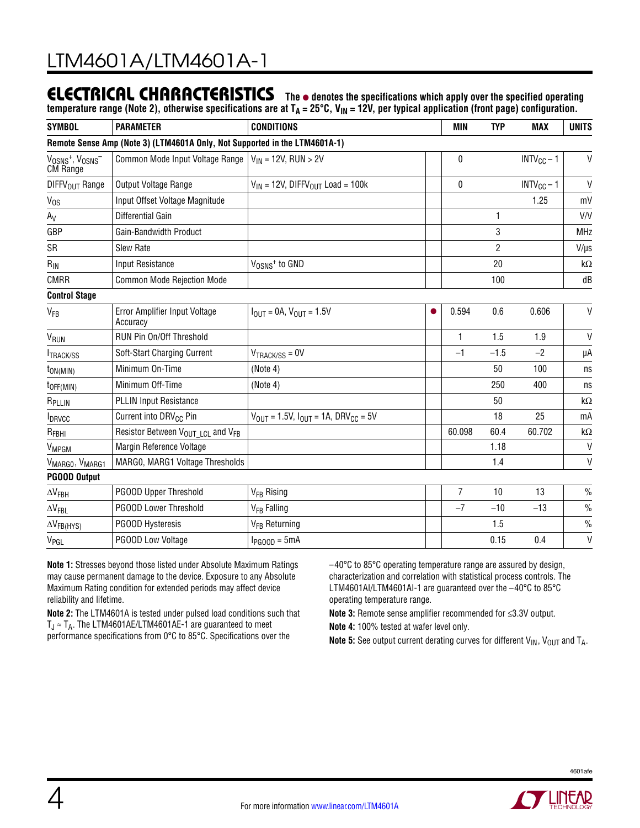#### **The** l **denotes the specifications which apply over the specified operating**  ELECTRICAL CHARACTERISTICS

temperature range (Note 2), otherwise specifications are at T<sub>A</sub> = 25°C, V<sub>IN</sub> = 12V, per typical application (front page) configuration.

| <b>SYMBOL</b>                                                              | <b>PARAMETER</b>                                          | <b>CONDITIONS</b>                                                        | <b>MIN</b> | <b>TYP</b>     | <b>MAX</b>     | <b>UNITS</b>    |               |  |  |  |  |  |  |
|----------------------------------------------------------------------------|-----------------------------------------------------------|--------------------------------------------------------------------------|------------|----------------|----------------|-----------------|---------------|--|--|--|--|--|--|
| Remote Sense Amp (Note 3) (LTM4601A Only, Not Supported in the LTM4601A-1) |                                                           |                                                                          |            |                |                |                 |               |  |  |  |  |  |  |
| $V_{OSNS}$ <sup>+</sup> , $V_{OSNS}$ <sup>-</sup><br><b>CM Range</b>       | Common Mode Input Voltage Range                           | $V_{IN}$ = 12V, RUN > 2V                                                 |            | 0              |                | $INTV_{CC} - 1$ | V             |  |  |  |  |  |  |
| DIFFV <sub>OUT</sub> Range                                                 | Output Voltage Range                                      | $V_{IN}$ = 12V, DIFFV <sub>OUT</sub> Load = 100k                         |            | $\bf{0}$       |                | $INTV_{CC} - 1$ | V             |  |  |  |  |  |  |
| $V_{OS}$                                                                   | Input Offset Voltage Magnitude                            |                                                                          |            |                |                | 1.25            | mV            |  |  |  |  |  |  |
| $A_V$                                                                      | Differential Gain                                         |                                                                          |            |                | 1              |                 | V/V           |  |  |  |  |  |  |
| GBP                                                                        | Gain-Bandwidth Product                                    |                                                                          |            |                | 3              |                 | <b>MHz</b>    |  |  |  |  |  |  |
| SR                                                                         | Slew Rate                                                 |                                                                          |            |                | $\overline{2}$ |                 | $V/\mu s$     |  |  |  |  |  |  |
| $R_{IN}$                                                                   | <b>Input Resistance</b>                                   | V <sub>OSNS</sub> <sup>+</sup> to GND                                    |            |                | 20             |                 | $k\Omega$     |  |  |  |  |  |  |
| <b>CMRR</b>                                                                | <b>Common Mode Rejection Mode</b>                         |                                                                          |            |                | 100            |                 | dB            |  |  |  |  |  |  |
| <b>Control Stage</b>                                                       |                                                           |                                                                          |            |                |                |                 |               |  |  |  |  |  |  |
| <b>V<sub>FB</sub></b>                                                      | Error Amplifier Input Voltage<br>Accuracy                 | $I_{OIII} = 0A$ , $V_{OIII} = 1.5V$                                      |            | 0.594          | 0.6            | 0.606           | $\mathsf{V}$  |  |  |  |  |  |  |
| V <sub>RUN</sub>                                                           | RUN Pin On/Off Threshold                                  |                                                                          |            | $\mathbf{1}$   | 1.5            | 1.9             | $\mathsf{V}$  |  |  |  |  |  |  |
| <b>ITRACK/SS</b>                                                           | Soft-Start Charging Current                               | $V_{\text{TRACK/SS}} = 0V$                                               |            | $-1$           | $-1.5$         | $-2$            | μA            |  |  |  |  |  |  |
| $t_{ON(MIN)}$                                                              | Minimum On-Time                                           | (Note 4)                                                                 |            |                | 50             | 100             | ns            |  |  |  |  |  |  |
| $t_{OFF(MIN)}$                                                             | Minimum Off-Time                                          | (Note 4)                                                                 |            |                | 250            | 400             | ns            |  |  |  |  |  |  |
| R <sub>PLLIN</sub>                                                         | <b>PLLIN Input Resistance</b>                             |                                                                          |            |                | 50             |                 | $k\Omega$     |  |  |  |  |  |  |
| <b>I</b> DRVCC                                                             | Current into DRV <sub>CC</sub> Pin                        | $V_{\text{OUT}} = 1.5V$ , $I_{\text{OUT}} = 1A$ , DRV <sub>CC</sub> = 5V |            |                | 18             | 25              | mA            |  |  |  |  |  |  |
| $R_{FBHI}$                                                                 | Resistor Between V <sub>OUT LCL</sub> and V <sub>FB</sub> |                                                                          |            | 60.098         | 60.4           | 60.702          | k $\Omega$    |  |  |  |  |  |  |
| VMPGM                                                                      | Margin Reference Voltage                                  |                                                                          |            |                | 1.18           |                 | $\mathsf{V}$  |  |  |  |  |  |  |
| VMARGO, VMARG1                                                             | MARGO, MARG1 Voltage Thresholds                           |                                                                          |            |                | 1.4            |                 | $\mathsf{V}$  |  |  |  |  |  |  |
| <b>PGOOD Output</b>                                                        |                                                           |                                                                          |            |                |                |                 |               |  |  |  |  |  |  |
| $\Delta V_{FBH}$                                                           | PGOOD Upper Threshold                                     | V <sub>FR</sub> Rising                                                   |            | $\overline{7}$ | 10             | 13              | $\frac{0}{0}$ |  |  |  |  |  |  |
| $\Delta V$ FBL                                                             | PGOOD Lower Threshold                                     | V <sub>FB</sub> Falling                                                  |            | $-7$           | $-10$          | $-13$           | $\%$          |  |  |  |  |  |  |
| $\Delta V_{FB(HYS)}$                                                       | PGOOD Hysteresis                                          | V <sub>FB</sub> Returning                                                |            |                | 1.5            |                 | $\frac{0}{0}$ |  |  |  |  |  |  |
| V <sub>PGL</sub>                                                           | PGOOD Low Voltage                                         | $I_{PGOOD} = 5mA$                                                        |            |                | 0.15           | 0.4             | V             |  |  |  |  |  |  |

**Note 1:** Stresses beyond those listed under Absolute Maximum Ratings may cause permanent damage to the device. Exposure to any Absolute Maximum Rating condition for extended periods may affect device reliability and lifetime.

**Note 2:** The LTM4601A is tested under pulsed load conditions such that  $T_J \approx T_A$ . The LTM4601AE/LTM4601AE-1 are guaranteed to meet performance specifications from 0°C to 85°C. Specifications over the

–40°C to 85°C operating temperature range are assured by design, characterization and correlation with statistical process controls. The LTM4601AI/LTM4601AI-1 are guaranteed over the –40°C to 85°C operating temperature range.

**Note 3:** Remote sense amplifier recommended for ≤3.3V output.

**Note 4:** 100% tested at wafer level only.

**Note 5:** See output current derating curves for different  $V_{IN}$ ,  $V_{OUT}$  and  $T_A$ .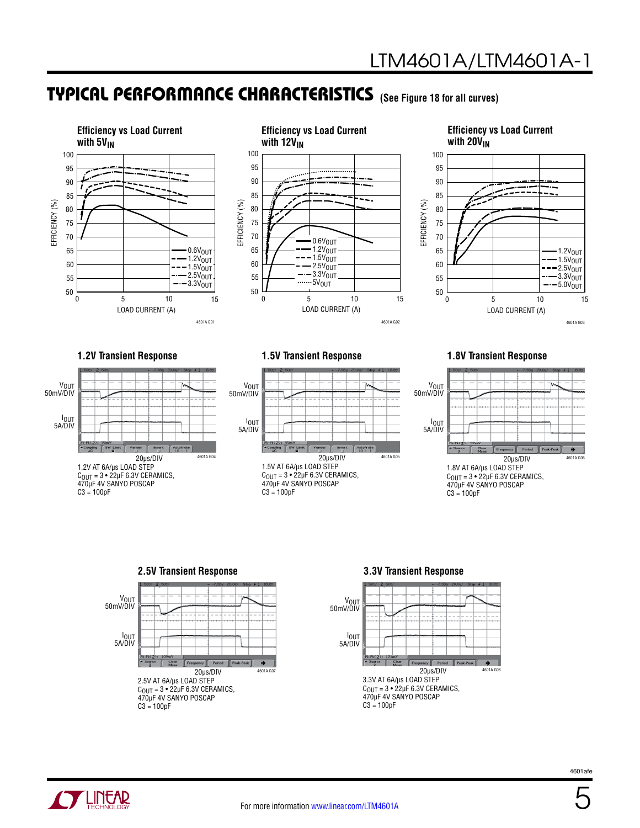### **(See Figure 18 for all curves)** TYPICAL PERFORMANCE CHARACTERISTICS





#### **Efficiency vs Load Current**  with 20V<sub>IN</sub> 100 90 95 85 80 75 70

**1.2V Transient Response 1.5V Transient Response**





#### **1.8V Transient Response**

 $\overline{0}$ 

EFFICIENCY (%)

EFFICIENCY (%)

LOAD CURRENT (A)

5 10 15

4601A G03

1.2VOUT  $1.5V<sub>OUT</sub>$  $-2.5V_{OUT}$  $3.3V_{OUT}$  $-$  5.0V<sub>OUT</sub>







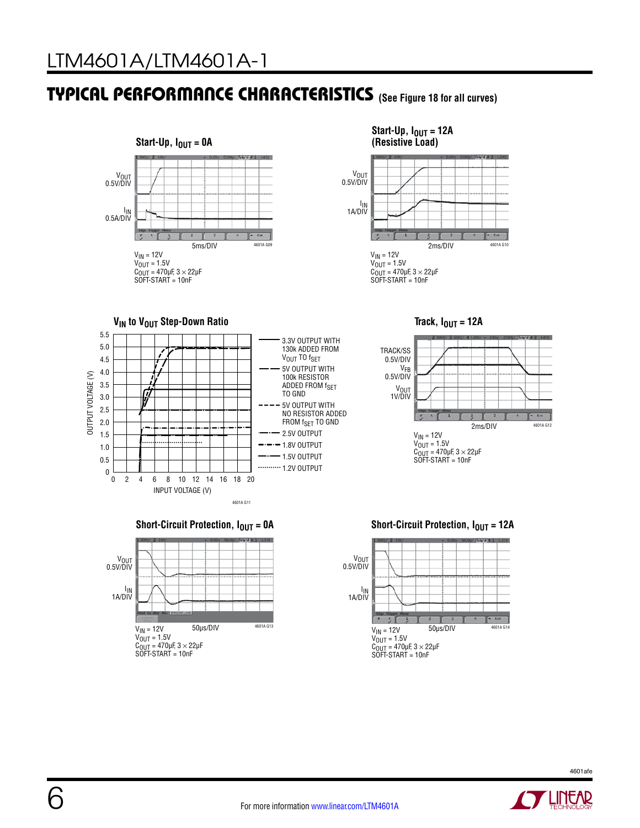### **(See Figure 18 for all curves)** TYPICAL PERFORMANCE CHARACTERISTICS















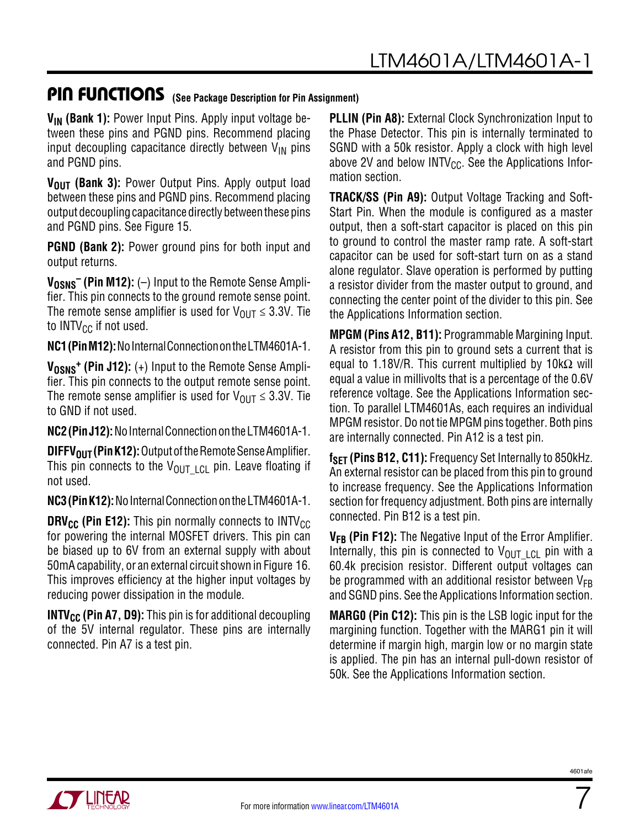### PIN FUNCTIONS (See Package Description for Pin Assignment)

**V<sub>IN</sub>** (Bank 1): Power Input Pins. Apply input voltage between these pins and PGND pins. Recommend placing input decoupling capacitance directly between  $V_{\text{IN}}$  pins and PGND pins.

**V<sub>OUT</sub>** (Bank 3): Power Output Pins. Apply output load between these pins and PGND pins. Recommend placing output decoupling capacitance directly between these pins and PGND pins. See Figure 15.

**PGND (Bank 2):** Power ground pins for both input and output returns.

 $V_{OSNS}$ <sup>-</sup> (Pin M12): (-) Input to the Remote Sense Amplifier. This pin connects to the ground remote sense point. The remote sense amplifier is used for  $V_{\text{OUT}} \leq 3.3V$ . Tie to INTV $_{\text{CC}}$  if not used.

**NC1 (Pin M12):** No Internal Connection on the LTM4601A-1.

**V<sub>OSNS</sub><sup>+</sup>** (Pin J12): (+) Input to the Remote Sense Amplifier. This pin connects to the output remote sense point. The remote sense amplifier is used for  $V_{\text{OUT}} \leq 3.3V$ . Tie to GND if not used.

**NC2 (Pin J12):** No Internal Connection on the LTM4601A-1.

**DIFFV<sub>OUT</sub> (Pin K12):** Output of the Remote Sense Amplifier. This pin connects to the  $V_{OUT+|C|}$  pin. Leave floating if not used.

**NC3 (Pin K12):** No Internal Connection on the LTM4601A-1.

**DRV<sub>CC</sub>** (Pin E12): This pin normally connects to INTV<sub>CC</sub> for powering the internal MOSFET drivers. This pin can be biased up to 6V from an external supply with about 50mA capability, or an external circuit shown in Figure 16. This improves efficiency at the higher input voltages by reducing power dissipation in the module.

**INTV<sub>CC</sub>** (Pin A7, D9): This pin is for additional decoupling of the 5V internal regulator. These pins are internally connected. Pin A7 is a test pin.

**PLLIN (Pin A8):** External Clock Synchronization Input to the Phase Detector. This pin is internally terminated to SGND with a 50k resistor. Apply a clock with high level above 2V and below  $INTV_{CC}$ . See the Applications Information section.

**TRACK/SS (Pin A9):** Output Voltage Tracking and Soft-Start Pin. When the module is configured as a master output, then a soft-start capacitor is placed on this pin to ground to control the master ramp rate. A soft-start capacitor can be used for soft-start turn on as a stand alone regulator. Slave operation is performed by putting a resistor divider from the master output to ground, and connecting the center point of the divider to this pin. See the Applications Information section.

**MPGM (Pins A12, B11):** Programmable Margining Input. A resistor from this pin to ground sets a current that is equal to 1.18V/R. This current multiplied by  $10k\Omega$  will equal a value in millivolts that is a percentage of the 0.6V reference voltage. See the Applications Information section. To parallel LTM4601As, each requires an individual MPGM resistor. Do not tie MPGM pins together. Both pins are internally connected. Pin A12 is a test pin.

f<sub>SFT</sub> (Pins B12, C11): Frequency Set Internally to 850kHz. An external resistor can be placed from this pin to ground to increase frequency. See the Applications Information section for frequency adjustment. Both pins are internally connected. Pin B12 is a test pin.

**VFB (Pin F12):** The Negative Input of the Error Amplifier. Internally, this pin is connected to  $V_{\text{OUT-LC}}$  pin with a 60.4k precision resistor. Different output voltages can be programmed with an additional resistor between  $V_{FB}$ and SGND pins. See the Applications Information section.

**MARG0 (Pin C12):** This pin is the LSB logic input for the margining function. Together with the MARG1 pin it will determine if margin high, margin low or no margin state is applied. The pin has an internal pull-down resistor of 50k. See the Applications Information section.



7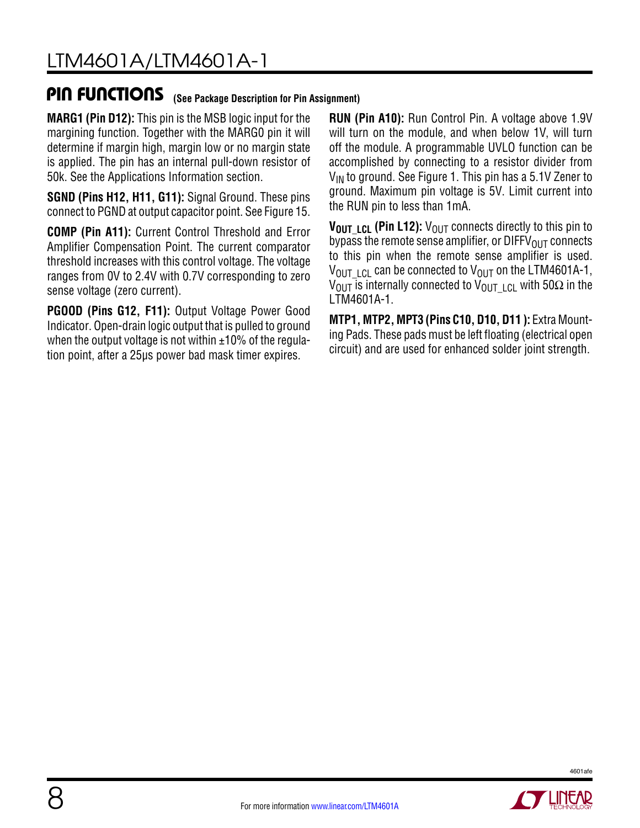### PIN FUNCTIONS **(See Package Description for Pin Assignment)**

**MARG1 (Pin D12):** This pin is the MSB logic input for the margining function. Together with the MARG0 pin it will determine if margin high, margin low or no margin state is applied. The pin has an internal pull-down resistor of 50k. See the Applications Information section.

**SGND (Pins H12, H11, G11):** Signal Ground. These pins connect to PGND at output capacitor point. See Figure 15.

**COMP (Pin A11):** Current Control Threshold and Error Amplifier Compensation Point. The current comparator threshold increases with this control voltage. The voltage ranges from 0V to 2.4V with 0.7V corresponding to zero sense voltage (zero current).

**PGOOD (Pins G12, F11):** Output Voltage Power Good Indicator. Open-drain logic output that is pulled to ground when the output voltage is not within  $\pm 10\%$  of the regulation point, after a 25µs power bad mask timer expires.

**RUN (Pin A10):** Run Control Pin. A voltage above 1.9V will turn on the module, and when below 1V, will turn off the module. A programmable UVLO function can be accomplished by connecting to a resistor divider from  $V_{IN}$  to ground. See Figure 1. This pin has a 5.1V Zener to ground. Maximum pin voltage is 5V. Limit current into the RUN pin to less than 1mA.

**VOUT LCL (Pin L12):** V<sub>OUT</sub> connects directly to this pin to bypass the remote sense amplifier, or  $DIFFV_{OIII}$  connects to this pin when the remote sense amplifier is used.  $V_{\text{OUT-ICL}}$  can be connected to  $V_{\text{OUT}}$  on the LTM4601A-1, V<sub>OUT</sub> is internally connected to V<sub>OUTLO</sub> with 50Ω in the LTM4601A-1.

**MTP1, MTP2, MPT3 (Pins C10, D10, D11 ):** Extra Mounting Pads. These pads must be left floating (electrical open circuit) and are used for enhanced solder joint strength.

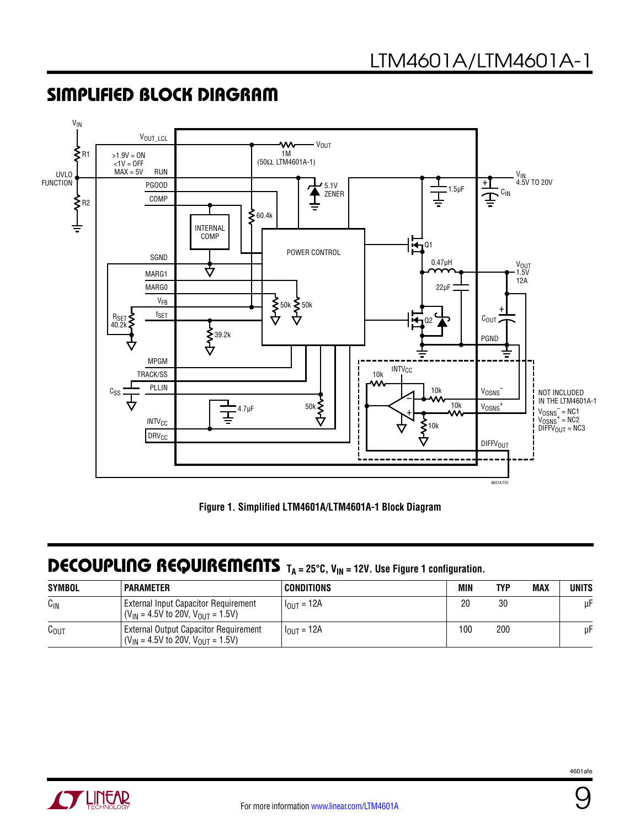

### SIMPLIFIED BLOCK DIAGRAM

**Figure 1. Simplified LTM4601A/LTM4601A-1 Block Diagram**

### DECOUPLING REQUIREMENTS T<sub>A</sub> = 25°C, V<sub>IN</sub> = 12V. Use Figure 1 configuration.

| <b>SYMBOL</b>    | <b>PARAMETER</b>                                                                     | CONDITIONS               | MIN | TYP | <b>MAX</b> | UNITS |
|------------------|--------------------------------------------------------------------------------------|--------------------------|-----|-----|------------|-------|
| $C_{IN}$         | External Input Capacitor Requirement<br>$(V_{IN} = 4.5V$ to 20V, $V_{OUIT} = 1.5V$ ) | ' I <sub>OUT</sub> = 12A | 20  | 30  |            | μF    |
| $C_{\text{OUT}}$ | External Output Capacitor Requirement<br>$(V_{IN} = 4.5V$ to 20V, $V_{OUT} = 1.5V$ ) | $I_{OUT} = 12A$          | 100 | 200 |            | μF    |

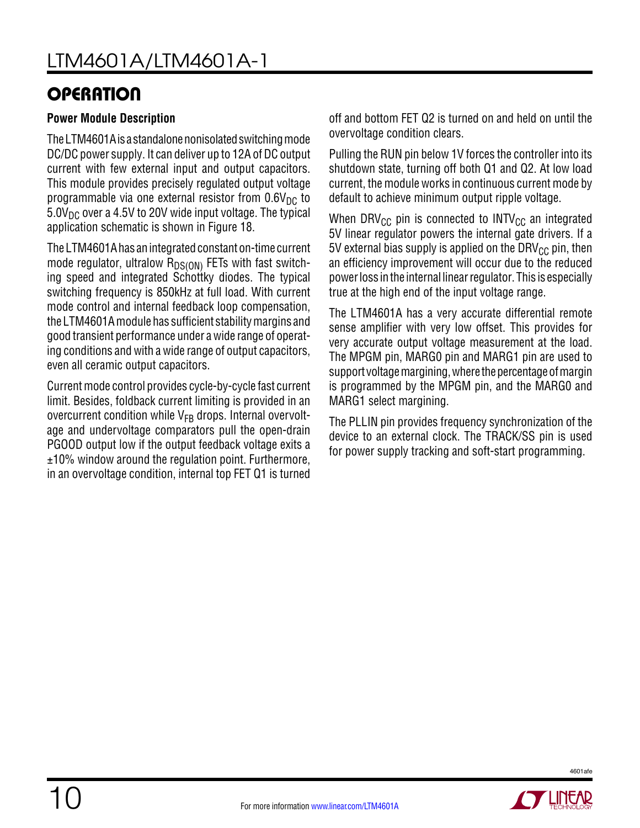## **OPERATION**

### **Power Module Description**

The LTM4601A is a standalone nonisolated switching mode DC/DC power supply. It can deliver up to 12A of DC output current with few external input and output capacitors. This module provides precisely regulated output voltage programmable via one external resistor from  $0.6V<sub>DC</sub>$  to  $5.0V_{DC}$  over a 4.5V to 20V wide input voltage. The typical application schematic is shown in Figure 18.

The LTM4601A has an integrated constant on-time current mode regulator, ultralow  $R_{DS(ON)}$  FETs with fast switching speed and integrated Schottky diodes. The typical switching frequency is 850kHz at full load. With current mode control and internal feedback loop compensation, the LTM4601A module has sufficient stability margins and good transient performance under a wide range of operating conditions and with a wide range of output capacitors, even all ceramic output capacitors.

Current mode control provides cycle-by-cycle fast current limit. Besides, foldback current limiting is provided in an overcurrent condition while  $V_{FR}$  drops. Internal overvoltage and undervoltage comparators pull the open-drain PGOOD output low if the output feedback voltage exits a ±10% window around the regulation point. Furthermore, in an overvoltage condition, internal top FET Q1 is turned

off and bottom FET Q2 is turned on and held on until the overvoltage condition clears.

Pulling the RUN pin below 1V forces the controller into its shutdown state, turning off both Q1 and Q2. At low load current, the module works in continuous current mode by default to achieve minimum output ripple voltage.

When DRV<sub>CC</sub> pin is connected to INTV<sub>CC</sub> an integrated 5V linear regulator powers the internal gate drivers. If a 5V external bias supply is applied on the DRV $_{CC}$  pin, then an efficiency improvement will occur due to the reduced powerloss inthe internal linearregulator. This is especially true at the high end of the input voltage range.

The LTM4601A has a very accurate differential remote sense amplifier with very low offset. This provides for very accurate output voltage measurement at the load. The MPGM pin, MARG0 pin and MARG1 pin are used to support voltage margining, where the percentage of margin is programmed by the MPGM pin, and the MARG0 and MARG1 select margining.

The PLLIN pin provides frequency synchronization of the device to an external clock. The TRACK/SS pin is used for power supply tracking and soft-start programming.

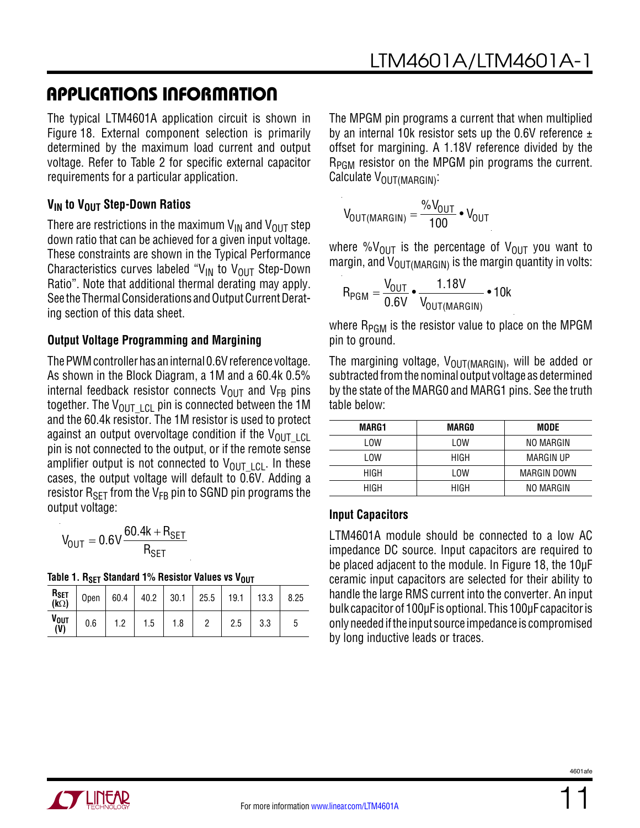The typical LTM4601A application circuit is shown in Figure 18. External component selection is primarily determined by the maximum load current and output voltage. Refer to Table 2 for specific external capacitor requirements for a particular application.

#### **V<sub>IN</sub>** to V<sub>OUT</sub> Step-Down Ratios

There are restrictions in the maximum  $V_{IN}$  and  $V_{OUT}$  step down ratio that can be achieved for a given input voltage. These constraints are shown in the Typical Performance Characteristics curves labeled "V<sub>IN</sub> to V<sub>OUT</sub> Step-Down Ratio". Note that additional thermal derating may apply. See the Thermal Considerations and Output Current Derating section of this data sheet.

#### **Output Voltage Programming and Margining**

The PWM controller has an internal 0.6V reference voltage. As shown in the Block Diagram, a 1M and a 60.4k 0.5% internal feedback resistor connects  $V_{\text{OUT}}$  and  $V_{\text{FB}}$  pins together. The  $V_{\text{OUT-ICL}}$  pin is connected between the 1M and the 60.4k resistor. The 1M resistor is used to protect against an output overvoltage condition if the  $V_{\text{OUT-LCL}}$ pin is not connected to the output, or if the remote sense amplifier output is not connected to  $V_{\text{OUT-ICL}}$ . In these cases, the output voltage will default to 0.6V. Adding a resistor  $R_{\text{SFT}}$  from the  $V_{FB}$  pin to SGND pin programs the output voltage:

$$
V_{OUT}=0.6V\frac{60.4k+R_{SET}}{R_{SET}}
$$

|  |  |  | Table 1. R <sub>SET</sub> Standard 1% Resistor Values vs V <sub>OUT</sub> |
|--|--|--|---------------------------------------------------------------------------|
|--|--|--|---------------------------------------------------------------------------|

| $R_{SET}$<br>(kΩ)         | Open   60.4   40.2   30.1   25.5   19.1   13.3 |     |     |     |     |     | 8.25 |
|---------------------------|------------------------------------------------|-----|-----|-----|-----|-----|------|
| $V_{\text{OUT}}$<br>$(V)$ | 0.6                                            | 1.2 | 1.5 | 1.8 | 2.5 | 3.3 |      |

The MPGM pin programs a current that when multiplied by an internal 10k resistor sets up the 0.6V reference  $\pm$ offset for margining. A 1.18V reference divided by the R<sub>PGM</sub> resistor on the MPGM pin programs the current. Calculate V<sub>OUT</sub>(MARGIN):

$$
V_{OUT(MARGIN)} = \frac{\%V_{OUT}}{100} \cdot V_{OUT}
$$

where % $V_{\text{OUT}}$  is the percentage of  $V_{\text{OUT}}$  you want to margin, and  $V_{\text{OUT(MARGIN)}}$  is the margin quantity in volts:

$$
R_{PGM} = \frac{V_{OUT}}{0.6V} \cdot \frac{1.18V}{V_{OUT(MARGIN)}} \cdot 10k
$$

where  $R_{PGM}$  is the resistor value to place on the MPGM pin to ground.

The margining voltage,  $V_{\text{OUT} (MARGIN)}$ , will be added or subtracted from the nominal output voltage as determined by the state of the MARG0 and MARG1 pins. See the truth table below:

| MARG1 | MARGO | MODE        |
|-------|-------|-------------|
| I OW  | LOW   | NO MARGIN   |
| LOW   | HIGH  | MARGIN UP   |
| HIGH  | LOW   | MARGIN DOWN |
| HIGH  | HIGH  | NO MARGIN   |

#### **Input Capacitors**

LTM4601A module should be connected to a low AC impedance DC source. Input capacitors are required to be placed adjacent to the module. In Figure 18, the 10µF ceramic input capacitors are selected for their ability to handle the large RMS current into the converter. An input bulk capacitor of 100µF is optional. This 100µF capacitor is onlyneededifthe input source impedance is compromised by long inductive leads or traces.

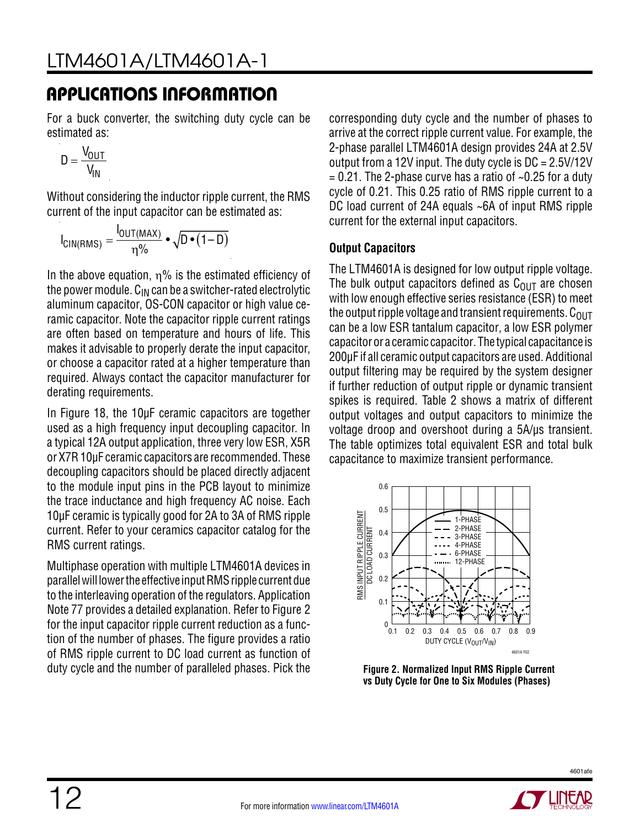For a buck converter, the switching duty cycle can be estimated as:

$$
D = \frac{V_{OUT}}{V_{IN}}
$$

Without considering the inductor ripple current, the RMS current of the input capacitor can be estimated as:

$$
I_{CIN(RMS)} = \frac{I_{OUT(MAX)}}{\eta\%} \cdot \sqrt{D \cdot (1 - D)}
$$

In the above equation,  $\eta$ % is the estimated efficiency of the power module.  $C_{IN}$  can be a switcher-rated electrolytic aluminum capacitor, OS-CON capacitor or high value ceramic capacitor. Note the capacitor ripple current ratings are often based on temperature and hours of life. This makes it advisable to properly derate the input capacitor, or choose a capacitor rated at a higher temperature than required. Always contact the capacitor manufacturer for derating requirements.

In Figure 18, the 10µF ceramic capacitors are together used as a high frequency input decoupling capacitor. In a typical 12A output application, three very low ESR, X5R or X7R 10µF ceramic capacitors are recommended. These decoupling capacitors should be placed directly adjacent to the module input pins in the PCB layout to minimize the trace inductance and high frequency AC noise. Each 10µF ceramic is typically good for 2A to 3A of RMS ripple current. Refer to your ceramics capacitor catalog for the RMS current ratings.

Multiphase operation with multiple LTM4601A devices in parallelwill lowerthe effective inputRMSripple currentdue to the interleaving operation of the regulators. Application Note 77 provides a detailed explanation. Refer to Figure 2 for the input capacitor ripple current reduction as a function of the number of phases. The figure provides a ratio of RMS ripple current to DC load current as function of duty cycle and the number of paralleled phases. Pick the

corresponding duty cycle and the number of phases to arrive at the correct ripple current value. For example, the 2-phase parallel LTM4601A design provides 24A at 2.5V output from a 12V input. The duty cycle is DC = 2.5V/12V  $= 0.21$ . The 2-phase curve has a ratio of  $\sim 0.25$  for a duty cycle of 0.21. This 0.25 ratio of RMS ripple current to a DC load current of 24A equals ~6A of input RMS ripple current for the external input capacitors.

### **Output Capacitors**

The LTM4601A is designed for low output ripple voltage. The bulk output capacitors defined as  $C<sub>OUT</sub>$  are chosen with low enough effective series resistance (ESR) to meet the output ripple voltage and transient requirements.  $C_{OUT}$ can be a low ESR tantalum capacitor, a low ESR polymer capacitor or a ceramic capacitor. The typical capacitance is 200µF if all ceramic output capacitors are used. Additional output filtering may be required by the system designer if further reduction of output ripple or dynamic transient spikes is required. Table 2 shows a matrix of different output voltages and output capacitors to minimize the voltage droop and overshoot during a 5A/µs transient. The table optimizes total equivalent ESR and total bulk capacitance to maximize transient performance.



**Figure 2. Normalized Input RMS Ripple Current vs Duty Cycle for One to Six Modules (Phases)**

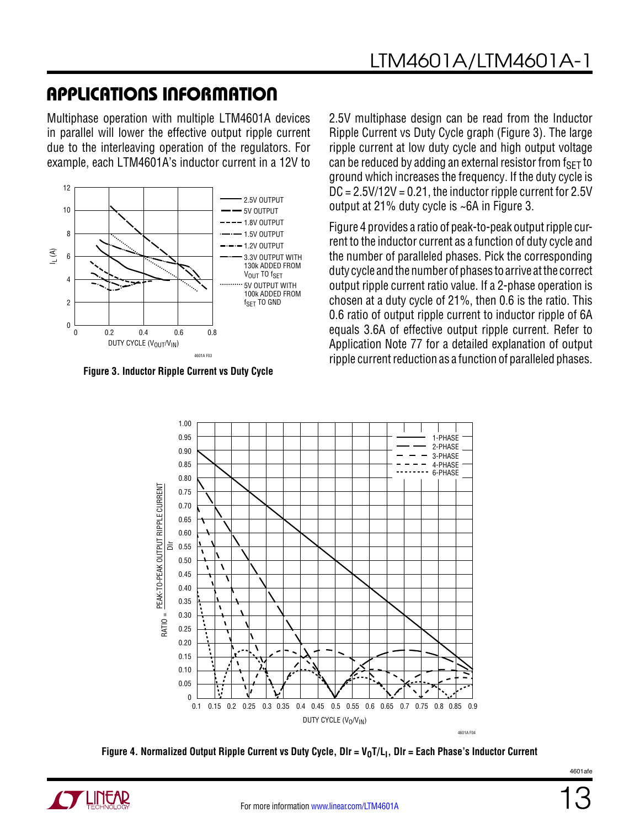Multiphase operation with multiple LTM4601A devices in parallel will lower the effective output ripple current due to the interleaving operation of the regulators. For example, each LTM4601A's inductor current in a 12V to



**Figure 3. Inductor Ripple Current vs Duty Cycle**

2.5V multiphase design can be read from the Inductor Ripple Current vs Duty Cycle graph (Figure 3). The large ripple current at low duty cycle and high output voltage can be reduced by adding an external resistor from  $f_{\text{SFT}}$  to ground which increases the frequency. If the duty cycle is  $DC = 2.5V/12V = 0.21$ , the inductor ripple current for  $2.5V$ output at 21% duty cycle is ~6A in Figure 3.

Figure 4 provides a ratio of peak-to-peak output ripple current to the inductor current as a function of duty cycle and the number of paralleled phases. Pick the corresponding duty cycle and the number of phases to arrive at the correct output ripple current ratio value. If a 2-phase operation is chosen at a duty cycle of 21%, then 0.6 is the ratio. This 0.6 ratio of output ripple current to inductor ripple of 6A equals 3.6A of effective output ripple current. Refer to Application Note 77 for a detailed explanation of output ripple current reduction as a function of paralleled phases.



Figure 4. Normalized Output Ripple Current vs Duty Cycle, DIr = V<sub>0</sub>T/L<sub>I</sub>, DIr = Each Phase's Inductor Current

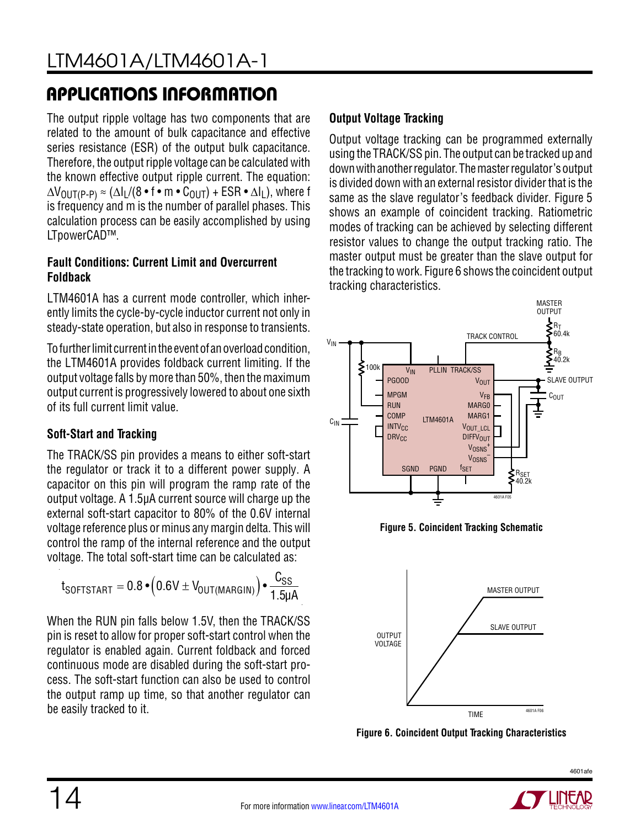The output ripple voltage has two components that are related to the amount of bulk capacitance and effective series resistance (ESR) of the output bulk capacitance. Therefore, the output ripple voltage can be calculated with the known effective output ripple current. The equation:  $\Delta V_{\text{OUT(P-P)}} \approx (\Delta I_L/(8 \cdot f \cdot m \cdot C_{\text{OUT}}) + \text{ESR} \cdot \Delta I_L)$ , where f is frequency and m is the number of parallel phases. This calculation process can be easily accomplished by using LTpowerCAD™.

### **Fault Conditions: Current Limit and Overcurrent Foldback**

LTM4601A has a current mode controller, which inherently limits the cycle-by-cycle inductor current not only in steady-state operation, but also in response to transients.

To further limit current in the event of an overload condition, the LTM4601A provides foldback current limiting. If the output voltage falls by more than 50%, then the maximum output current is progressively lowered to about one sixth of its full current limit value.

### **Soft-Start and Tracking**

The TRACK/SS pin provides a means to either soft-start the regulator or track it to a different power supply. A capacitor on this pin will program the ramp rate of the output voltage. A 1.5µA current source will charge up the external soft-start capacitor to 80% of the 0.6V internal voltage reference plus or minus any margin delta. This will control the ramp of the internal reference and the output voltage. The total soft-start time can be calculated as:

$$
t_{\text{SOFTSTAT}} = 0.8 \cdot \left(0.6 \text{V} \pm \text{V}_{\text{OUT(MARGIN)}}\right) \cdot \frac{\text{C}_{\text{SS}}}{1.5 \mu \text{A}}
$$

When the RUN pin falls below 1.5V, then the TRACK/SS pin is reset to allow for proper soft-start control when the regulator is enabled again. Current foldback and forced continuous mode are disabled during the soft-start process. The soft-start function can also be used to control the output ramp up time, so that another regulator can be easily tracked to it.

### **Output Voltage Tracking**

Output voltage tracking can be programmed externally using the TRACK/SS pin. The output can be tracked up and downwithanotherregulator. Themasterregulator's output is divided down with an external resistor divider that is the same as the slave regulator's feedback divider. Figure 5 shows an example of coincident tracking. Ratiometric modes of tracking can be achieved by selecting different resistor values to change the output tracking ratio. The master output must be greater than the slave output for the tracking to work. Figure 6 shows the coincident output tracking characteristics.



**Figure 5. Coincident Tracking Schematic**



**Figure 6. Coincident Output Tracking Characteristics**

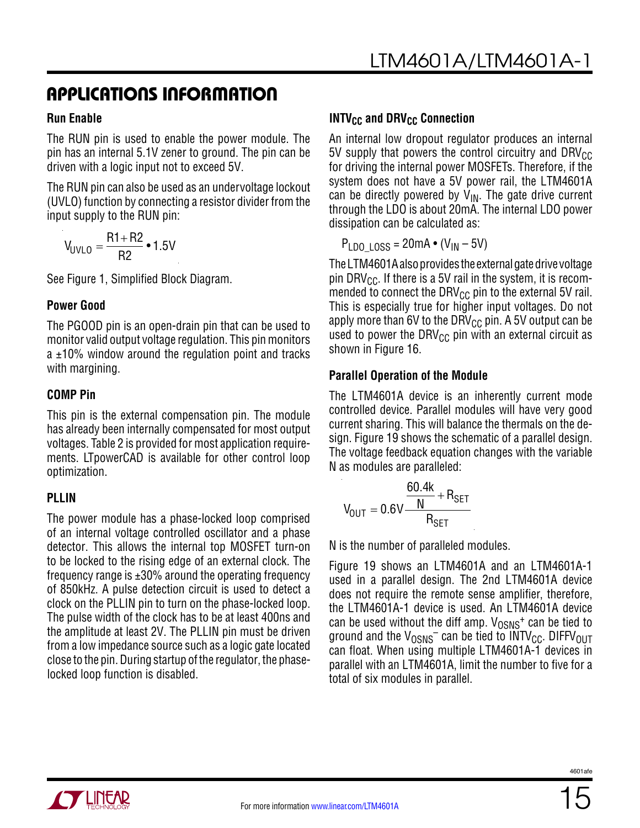#### **Run Enable**

The RUN pin is used to enable the power module. The pin has an internal 5.1V zener to ground. The pin can be driven with a logic input not to exceed 5V.

The RUN pin can also be used as an undervoltage lockout (UVLO) function by connecting a resistor divider from the input supply to the RUN pin:

$$
V_{UVLO} = \frac{R1 + R2}{R2} \cdot 1.5V
$$

See Figure 1, Simplified Block Diagram.

#### **Power Good**

The PGOOD pin is an open-drain pin that can be used to monitor valid output voltage regulation. This pin monitors  $a \pm 10$ % window around the regulation point and tracks with margining.

### **COMP Pin**

This pin is the external compensation pin. The module has already been internally compensated for most output voltages. Table 2 is provided for most application requirements. LTpowerCAD is available for other control loop optimization.

### **PLLIN**

The power module has a phase-locked loop comprised of an internal voltage controlled oscillator and a phase detector. This allows the internal top MOSFET turn-on to be locked to the rising edge of an external clock. The frequency range is  $\pm 30\%$  around the operating frequency of 850kHz. A pulse detection circuit is used to detect a clock on the PLLIN pin to turn on the phase-locked loop. The pulse width of the clock has to be at least 400ns and the amplitude at least 2V. The PLLIN pin must be driven from a low impedance source such as a logic gate located close to the pin. During startup of the regulator, the phaselocked loop function is disabled.

### **INTV<sub>CC</sub>** and DRV<sub>CC</sub> Connection

An internal low dropout regulator produces an internal 5V supply that powers the control circuitry and DRV $_{\text{CC}}$ for driving the internal power MOSFETs. Therefore, if the system does not have a 5V power rail, the LTM4601A can be directly powered by  $V_{IN}$ . The gate drive current through the LDO is about 20mA. The internal LDO power dissipation can be calculated as:

 $P_{LDO-LOS} = 20mA \cdot (V_{IN} - 5V)$ 

The LTM4601A also provides the external gate drive voltage pin DRV<sub>CC</sub>. If there is a 5V rail in the system, it is recommended to connect the DRV $_{\text{CC}}$  pin to the external 5V rail. This is especially true for higher input voltages. Do not apply more than 6V to the DRV $_{\text{CC}}$  pin. A 5V output can be used to power the DRV $_{\text{CC}}$  pin with an external circuit as shown in Figure 16.

### **Parallel Operation of the Module**

The LTM4601A device is an inherently current mode controlled device. Parallel modules will have very good current sharing. This will balance the thermals on the design. Figure 19 shows the schematic of a parallel design. The voltage feedback equation changes with the variable N as modules are paralleled:

$$
V_{\text{OUT}} = 0.6V \frac{\frac{60.4k}{N} + R_{\text{SET}}}{R_{\text{SET}}}
$$

N is the number of paralleled modules.

Figure 19 shows an LTM4601A and an LTM4601A-1 used in a parallel design. The 2nd LTM4601A device does not require the remote sense amplifier, therefore, the LTM4601A-1 device is used. An LTM4601A device can be used without the diff amp.  $V_{OSNS}$ <sup>+</sup> can be tied to ground and the  $V_{OSNS}^-$  can be tied to INTV<sub>CC</sub>. DIFFV<sub>OUT</sub> can float. When using multiple LTM4601A-1 devices in parallel with an LTM4601A, limit the number to five for a total of six modules in parallel.

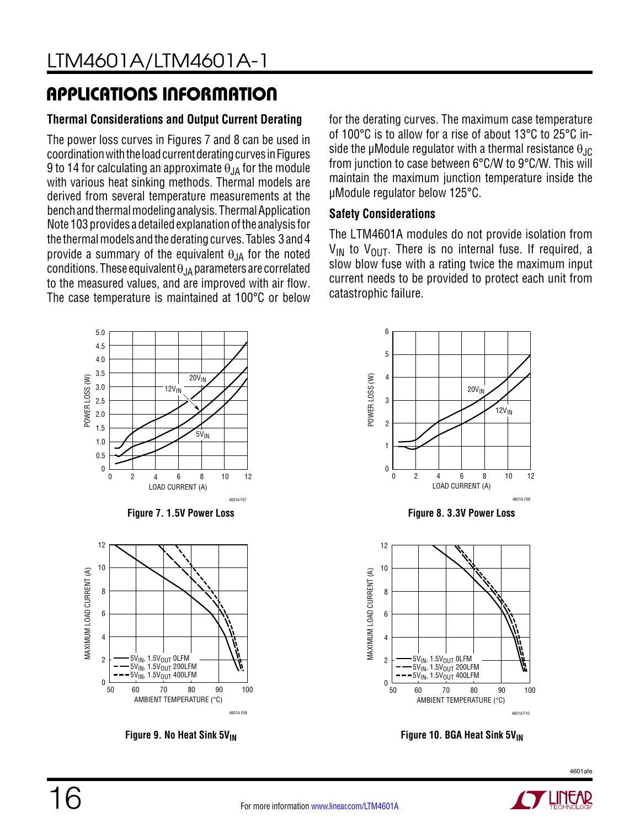### **Thermal Considerations and Output Current Derating**

The power loss curves in Figures 7 and 8 can be used in coordination with the load current derating curves in Figures 9 to 14 for calculating an approximate  $\theta_{\text{IA}}$  for the module with various heat sinking methods. Thermal models are derived from several temperature measurements at the bench and thermal modeling analysis. Thermal Application Note 103 provides a detailed explanation of the analysis for the thermal models and the derating curves. Tables 3 and 4 provide a summary of the equivalent  $\theta_{JA}$  for the noted conditions. These equivalent  $\theta_{JA}$  parameters are correlated to the measured values, and are improved with air flow. The case temperature is maintained at 100°C or below

5.0 4.5 4.0 3.5 POWER LOSS (W)  $20V_{IN}$ POWER LOSS (W) 3.0  $12V_{IN}$ 2.5 2.0 1.5  $5V_{IN}$ 1.0 0.5 0



4601A F07

12

10

LOAD CURRENT (A)

2 4 6 8

0





for the derating curves. The maximum case temperature of 100°C is to allow for a rise of about 13°C to 25°C inside the µModule regulator with a thermal resistance  $\theta_{\text{JC}}$ from junction to case between 6°C/W to 9°C/W. This will maintain the maximum junction temperature inside the µModule regulator below 125°C.

### **Safety Considerations**

The LTM4601A modules do not provide isolation from  $V_{IN}$  to  $V_{OIII}$ . There is no internal fuse. If required, a slow blow fuse with a rating twice the maximum input current needs to be provided to protect each unit from catastrophic failure.



**Figure 9. No Heat Sink 5V<sub>IN</sub> Figure 10. BGA Heat Sink 5V<sub>IN</sub>** 

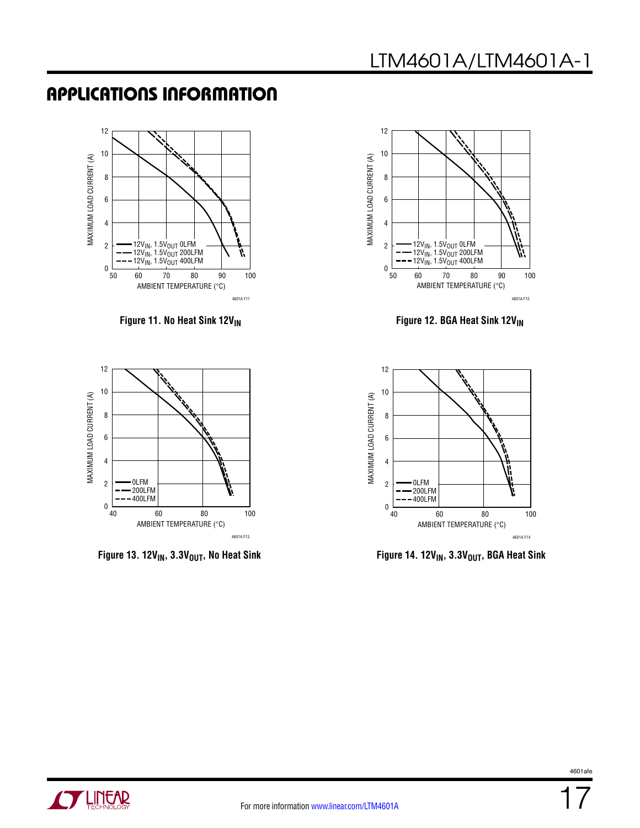





**Figure 11. No Heat Sink 12V<sub>IN</sub> Figure 12. BGA Heat Sink 12V<sub>IN</sub>** 



Figure 13. 12V<sub>IN</sub>, 3.3V<sub>OUT</sub>, No Heat Sink **Figure 14. 12V<sub>IN</sub>**, 3.3V<sub>OUT</sub>, BGA Heat Sink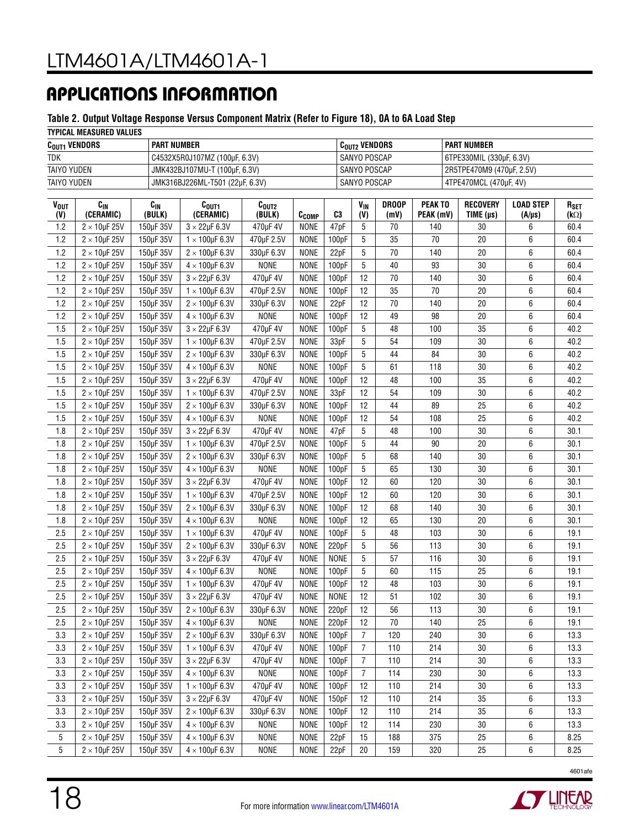#### **Table 2. Output Voltage Response Versus Component Matrix (Refer to Figure 18), 0A to 6A Load Step**

#### **TYPICAL MEASURED VALUES**

| $C_{\text{OUT1}}$ vendors | <b>PART NUMBER</b>              | C <sub>out2</sub> Vendors | <b>PART NUMBER</b>        |  |  |  |  |  |  |  |
|---------------------------|---------------------------------|---------------------------|---------------------------|--|--|--|--|--|--|--|
| <b>TDK</b>                | C4532X5R0J107MZ (100µF, 6.3V)   | SANYO POSCAP              | 6TPE330MIL (330µF, 6.3V)  |  |  |  |  |  |  |  |
| <b>TAIYO YUDEN</b>        | JMK432BJ107MU-T (100µF, 6.3V)   | SANYO POSCAP              | 2R5TPE470M9 (470µF, 2.5V) |  |  |  |  |  |  |  |
| TAIYO YUDEN               | JMK316BJ226ML-T501 (22µF, 6.3V) | SANYO POSCAP              | 4TPE470MCL (470uF, 4V)    |  |  |  |  |  |  |  |

| VOUT<br>(V) | $c_{\rm IN}$<br>(CERAMIC) | $C_{IN}$<br>(BULK) | C <sub>OUT1</sub><br>(CERAMIC) | $c_{\text{out2}}$<br>(BULK) | C <sub>COMP</sub> | C3          | <b>V<sub>IN</sub></b><br>(V) | <b>DROOP</b><br>(mV) | <b>PEAK TO</b><br>PEAK (mV) | <b>RECOVERY</b><br>TIME (µs) | <b>LOAD STEP</b><br>$(A/\mu s)$ | $R_{SET}$<br>$(k\Omega)$ |
|-------------|---------------------------|--------------------|--------------------------------|-----------------------------|-------------------|-------------|------------------------------|----------------------|-----------------------------|------------------------------|---------------------------------|--------------------------|
| 1.2         | $2 \times 10$ µF 25V      | 150µF 35V          | $3 \times 22$ uF 6.3V          | 470uF 4V                    | <b>NONE</b>       | 47pF        | 5                            | 70                   | 140                         | 30                           | 6                               | 60.4                     |
| 1.2         | $2 \times 10$ µF 25V      | 150µF 35V          | $1 \times 100$ µF 6.3V         | 470uF 2.5V                  | <b>NONE</b>       | 100pF       | 5                            | 35                   | 70                          | 20                           | 6                               | 60.4                     |
| 1.2         | $2 \times 10$ µF 25V      | 150uF 35V          | $2 \times 100$ µF 6.3V         | 330µF 6.3V                  | <b>NONE</b>       | 22pF        | 5                            | 70                   | 140                         | 20                           | 6                               | 60.4                     |
| 1.2         | $2 \times 10$ µF 25V      | 150µF 35V          | $4 \times 100$ µF 6.3V         | <b>NONE</b>                 | <b>NONE</b>       | 100pF       | 5                            | 40                   | 93                          | $30\,$                       | 6                               | 60.4                     |
| 1.2         | $2 \times 10$ µF 25V      | 150µF 35V          | $3 \times 22 \mu F 6.3 V$      | 470µF 4V                    | <b>NONE</b>       | 100pF       | 12                           | 70                   | 140                         | 30                           | 6                               | 60.4                     |
| 1.2         | $2 \times 10$ uF 25V      | 150uF 35V          | $1 \times 100$ uF 6.3V         | 470uF 2.5V                  | <b>NONE</b>       | 100pF       | 12                           | 35                   | 70                          | 20                           | 6                               | 60.4                     |
| 1.2         | $2 \times 10$ µF 25V      | 150µF 35V          | $2 \times 100$ µF 6.3V         | 330uF 6.3V                  | <b>NONE</b>       | 22pF        | 12                           | 70                   | 140                         | 20                           | 6                               | 60.4                     |
| 1.2         | $2 \times 10$ µF 25V      | 150µF 35V          | $4 \times 100$ µF 6.3V         | <b>NONE</b>                 | <b>NONE</b>       | 100pF       | 12                           | 49                   | 98                          | 20                           | 6                               | 60.4                     |
| 1.5         | $2 \times 10$ µF 25V      | 150µF 35V          | $3 \times 22 \mu F 6.3 V$      | 470µF 4V                    | <b>NONE</b>       | 100pF       | 5                            | 48                   | 100                         | 35                           | 6                               | 40.2                     |
| 1.5         | $2 \times 10$ µF 25V      | 150µF 35V          | $1 \times 100$ µF 6.3V         | 470µF 2.5V                  | <b>NONE</b>       | 33pF        | 5                            | 54                   | 109                         | 30                           | 6                               | 40.2                     |
| 1.5         | $2 \times 10$ µF 25V      | 150µF 35V          | $2 \times 100$ µF 6.3V         | 330µF 6.3V                  | <b>NONE</b>       | 100pF       | 5                            | 44                   | 84                          | 30                           | 6                               | 40.2                     |
| 1.5         | $2 \times 10$ µF 25V      | 150µF 35V          | $4 \times 100$ µF 6.3V         | <b>NONE</b>                 | <b>NONE</b>       | 100pF       | 5                            | 61                   | 118                         | 30                           | 6                               | 40.2                     |
| 1.5         | $2 \times 10$ µF 25V      | 150µF 35V          | $3 \times 22 \mu F 6.3 V$      | 470µF 4V                    | <b>NONE</b>       | 100pF       | 12                           | 48                   | 100                         | 35                           | 6                               | 40.2                     |
| 1.5         | $2 \times 10$ µF 25V      | 150µF 35V          | $1 \times 100$ µF 6.3V         | 470µF 2.5V                  | <b>NONE</b>       | 33pF        | 12                           | 54                   | 109                         | 30                           | 6                               | 40.2                     |
| 1.5         | $2 \times 10$ µF 25V      | 150µF 35V          | $2 \times 100$ µF 6.3V         | 330µF 6.3V                  | <b>NONE</b>       | 100pF       | 12                           | 44                   | 89                          | 25                           | 6                               | 40.2                     |
| 1.5         | $2 \times 10$ µF 25V      | 150µF 35V          | $4 \times 100$ µF 6.3V         | <b>NONE</b>                 | <b>NONE</b>       | 100pF       | 12                           | 54                   | 108                         | 25                           | 6                               | 40.2                     |
| 1.8         | $2 \times 10$ µF 25V      | 150µF 35V          | $3 \times 22 \mu F 6.3 V$      | 470µF 4V                    | <b>NONE</b>       | 47pF        | 5                            | 48                   | 100                         | 30                           | 6                               | 30.1                     |
| 1.8         | $2 \times 10$ µF 25V      | 150µF 35V          | $1 \times 100$ uF 6.3V         | 470uF 2.5V                  | <b>NONE</b>       | 100pF       | 5                            | 44                   | 90                          | 20                           | 6                               | 30.1                     |
| 1.8         | $2 \times 10$ µF 25V      | 150µF 35V          | $2 \times 100$ µF 6.3V         | 330µF 6.3V                  | <b>NONE</b>       | 100pF       | 5                            | 68                   | 140                         | 30                           | 6                               | 30.1                     |
| 1.8         | $2 \times 10$ µF 25V      | 150µF 35V          | $4 \times 100$ µF 6.3V         | <b>NONE</b>                 | <b>NONE</b>       | 100pF       | 5                            | 65                   | 130                         | 30                           | 6                               | 30.1                     |
| 1.8         | $2 \times 10$ µF 25V      | 150µF 35V          | $3 \times 22 \mu F 6.3 V$      | 470µF 4V                    | <b>NONE</b>       | 100pF       | 12                           | 60                   | 120                         | 30                           | 6                               | 30.1                     |
| 1.8         | $2 \times 10$ µF 25V      | 150µF 35V          | $1 \times 100$ µF 6.3V         | 470µF 2.5V                  | <b>NONE</b>       | 100pF       | 12                           | 60                   | 120                         | 30                           | $\boldsymbol{6}$                | 30.1                     |
| 1.8         | $2 \times 10$ µF 25V      | 150µF 35V          | $2 \times 100$ µF 6.3V         | 330µF 6.3V                  | <b>NONE</b>       | 100pF       | 12                           | 68                   | 140                         | $30\,$                       | 6                               | 30.1                     |
| 1.8         | $2 \times 10$ µF 25V      | 150µF 35V          | $4 \times 100$ µF 6.3V         | <b>NONE</b>                 | <b>NONE</b>       | 100pF       | 12                           | 65                   | 130                         | 20                           | 6                               | 30.1                     |
| 2.5         | $2 \times 10$ µF 25V      | 150µF 35V          | $1 \times 100$ µF 6.3V         | 470µF 4V                    | <b>NONE</b>       | 100pF       | 5                            | 48                   | 103                         | 30                           | 6                               | 19.1                     |
| 2.5         | $2 \times 10$ µF 25V      | 150µF 35V          | $2 \times 100$ µF 6.3V         | 330µF 6.3V                  | <b>NONE</b>       | 220pF       | 5                            | 56                   | 113                         | $30\,$                       | 6                               | 19.1                     |
| 2.5         | $2 \times 10$ µF 25V      | 150uF 35V          | $3 \times 22 \mu F 6.3 V$      | 470µF 4V                    | <b>NONE</b>       | <b>NONE</b> | 5                            | 57                   | 116                         | 30                           | 6                               | 19.1                     |
| 2.5         | $2 \times 10$ µF 25V      | 150uF 35V          | $4 \times 100$ µF 6.3V         | <b>NONE</b>                 | <b>NONE</b>       | 100pF       | 5                            | 60                   | 115                         | 25                           | 6                               | 19.1                     |
| 2.5         | $2 \times 10$ uF 25V      | 150uF 35V          | $1 \times 100$ µF 6.3V         | 470uF 4V                    | <b>NONE</b>       | 100pF       | 12                           | 48                   | 103                         | 30                           | 6                               | 19.1                     |
| 2.5         | $2 \times 10$ µF 25V      | 150uF 35V          | $3 \times 22$ uF 6.3V          | 470uF 4V                    | <b>NONE</b>       | <b>NONE</b> | 12                           | 51                   | 102                         | 30                           | 6                               | 19.1                     |
| 2.5         | $2 \times 10$ µF 25V      | 150uF 35V          | $2 \times 100$ µF 6.3V         | 330µF 6.3V                  | <b>NONE</b>       | 220pF       | 12                           | 56                   | 113                         | 30                           | 6                               | 19.1                     |
| 2.5         | $2 \times 10$ µF 25V      | 150µF 35V          | $4 \times 100$ µF 6.3V         | <b>NONE</b>                 | <b>NONE</b>       | 220pF       | 12                           | 70                   | 140                         | 25                           | 6                               | 19.1                     |
| 3.3         | $2 \times 10$ µF 25V      | 150uF 35V          | $2 \times 100$ µF 6.3V         | 330µF 6.3V                  | <b>NONE</b>       | 100pF       | 7                            | 120                  | 240                         | 30                           | 6                               | 13.3                     |
| 3.3         | $2 \times 10$ µF 25V      | 150µF 35V          | $1 \times 100$ uF 6.3V         | 470uF 4V                    | <b>NONE</b>       | 100pF       | $\overline{7}$               | 110                  | 214                         | $30\,$                       | 6                               | 13.3                     |
| $3.3\,$     | $2 \times 10 \mu$ F 25V   | 150µF 35V          | $3\times22\mu$ F 6.3V          | 470µF 4V                    | NONE              | 100pF       | 7                            | 110                  | 214                         | $30\,$                       | 6                               | 13.3                     |
| 3.3         | $2 \times 10$ µF 25V      | 150µF 35V          | $4 \times 100 \mu F 6.3 V$     | NONE                        | <b>NONE</b>       | 100pF       | $\overline{7}$               | 114                  | 230                         | 30                           | 6                               | 13.3                     |
| 3.3         | $2 \times 10$ µF 25V      | 150µF 35V          | $1 \times 100$ µF 6.3V         | 470µF 4V                    | NONE              | 100pF       | 12                           | 110                  | 214                         | 30                           | 6                               | 13.3                     |
| 3.3         | $2 \times 10$ µF 25V      | 150µF 35V          | $3 \times 22 \mu F 6.3 V$      | 470µF 4V                    | <b>NONE</b>       | 150pF       | 12                           | 110                  | 214                         | 35                           | 6                               | 13.3                     |
| 3.3         | $2 \times 10$ µF 25V      | 150µF 35V          | $2 \times 100$ µF 6.3V         | 330µF 6.3V                  | <b>NONE</b>       | 100pF       | 12                           | 110                  | 214                         | $35\,$                       | 6                               | 13.3                     |
| 3.3         | $2 \times 10$ µF 25V      | 150µF 35V          | $4 \times 100$ µF 6.3V         | NONE                        | <b>NONE</b>       | 100pF       | 12                           | 114                  | 230                         | 30                           | 6                               | 13.3                     |
| 5           | $2 \times 10$ µF 25V      | 150µF 35V          | $4 \times 100$ µF 6.3V         | <b>NONE</b>                 | NONE              | 22pF        | 15                           | 188                  | 375                         | 25                           | 6                               | 8.25                     |
| 5           | $2 \times 10$ µF 25V      | 150µF 35V          | $4 \times 100 \mu F 6.3 V$     | <b>NONE</b>                 | NONE              | 22pF        | 20                           | 159                  | 320                         | 25                           | 6                               | 8.25                     |
|             |                           |                    |                                |                             |                   |             |                              |                      |                             |                              |                                 |                          |



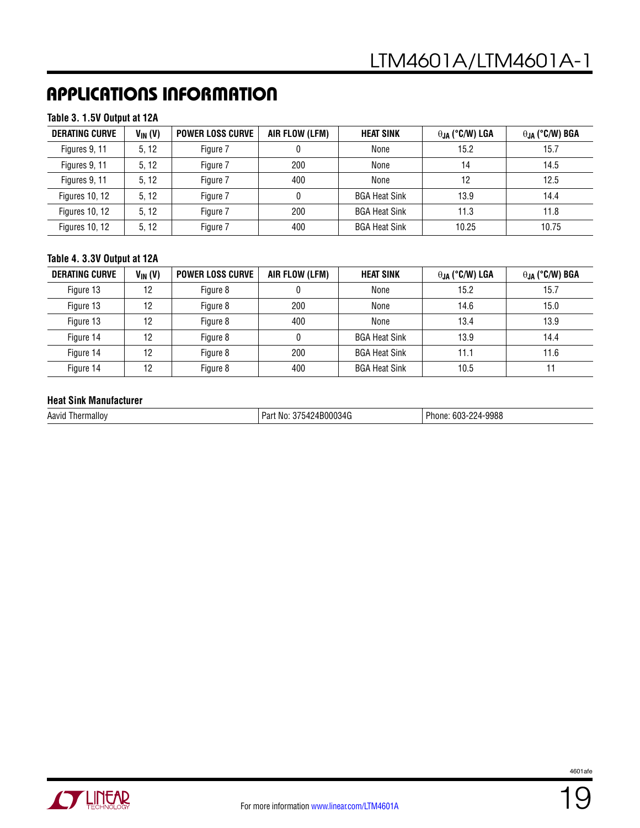#### **Table 3. 1.5V Output at 12A**

| <b>DERATING CURVE</b> | $V_{IN}(V)$ | <b>POWER LOSS CURVE</b> | AIR FLOW (LFM) | <b>HEAT SINK</b>     | $\theta_{JA}$ (°C/W) LGA | $\theta_{JA}$ (°C/W) BGA |
|-----------------------|-------------|-------------------------|----------------|----------------------|--------------------------|--------------------------|
| Figures 9, 11         | 5.12        | Figure 7                |                | None                 | 15.2                     | 15.7                     |
| Figures 9, 11         | 5.12        | Figure 7                | 200            | None                 | 14                       | 14.5                     |
| Figures 9, 11         | 5.12        | Figure 7                | 400            | None                 | 12                       | 12.5                     |
| <b>Figures 10, 12</b> | 5.12        | Figure 7                |                | <b>BGA Heat Sink</b> | 13.9                     | 14.4                     |
| <b>Figures 10, 12</b> | 5.12        | Figure 7                | 200            | <b>BGA Heat Sink</b> | 11.3                     | 11.8                     |
| <b>Figures 10, 12</b> | 5.12        | Figure 7                | 400            | <b>BGA Heat Sink</b> | 10.25                    | 10.75                    |

#### **Table 4. 3.3V Output at 12A**

| <b>DERATING CURVE</b> | $V_{IN} (V)$ | <b>POWER LOSS CURVE</b> | AIR FLOW (LFM) | <b>HEAT SINK</b>     | $\theta_{JA}$ (°C/W) LGA | $\theta_{JA}$ (°C/W) BGA |
|-----------------------|--------------|-------------------------|----------------|----------------------|--------------------------|--------------------------|
| Figure 13             | 12           | Figure 8                |                | None                 | 15.2                     | 15.7                     |
| Figure 13             | 12           | Figure 8                | 200            | None                 | 14.6                     | 15.0                     |
| Figure 13             | 12           | Figure 8                | 400            | None                 | 13.4                     | 13.9                     |
| Figure 14             | 12           | Figure 8                |                | <b>BGA Heat Sink</b> | 13.9                     | 14.4                     |
| Figure 14             | 12           | Figure 8                | 200            | <b>BGA Heat Sink</b> | 11.1                     | 11.6                     |
| Figure 14             | 12           | Figure 8                | 400            | <b>BGA Heat Sink</b> | 10.5                     |                          |

#### **Heat Sink Manufacturer**

| <b>Phone</b><br>224-9988<br>10000010<br>$\sim$<br>$\mathbf{a}$<br>ה הרי<br>. പ34ല<br>Aavid<br>Par.<br>Thermallov<br>: No:<br>ישו <i>ו</i><br>nı<br>.<br>uuu |  |
|-------------------------------------------------------------------------------------------------------------------------------------------------------------|--|
|-------------------------------------------------------------------------------------------------------------------------------------------------------------|--|

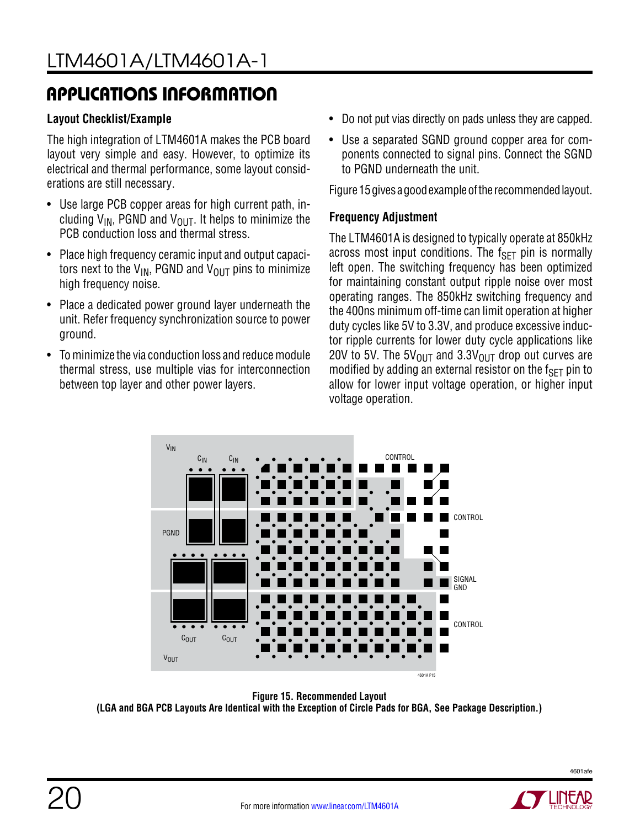### **Layout Checklist/Example**

The high integration of LTM4601A makes the PCB board layout very simple and easy. However, to optimize its electrical and thermal performance, some layout considerations are still necessary.

- Use large PCB copper areas for high current path, including  $V_{IN}$ , PGND and  $V_{OUT}$ . It helps to minimize the PCB conduction loss and thermal stress.
- Place high frequency ceramic input and output capacitors next to the  $V_{IN}$ , PGND and  $V_{OUT}$  pins to minimize high frequency noise.
- Place a dedicated power ground layer underneath the unit. Refer frequency synchronization source to power ground.
- To minimize the via conduction loss and reduce module thermal stress, use multiple vias for interconnection between top layer and other power layers.
- Do not put vias directly on pads unless they are capped.
- Use a separated SGND ground copper area for components connected to signal pins. Connect the SGND to PGND underneath the unit.

Figure 15 gives a good example of the recommended layout.

### **Frequency Adjustment**

The LTM4601A is designed to typically operate at 850kHz across most input conditions. The  $f_{\text{SFT}}$  pin is normally left open. The switching frequency has been optimized for maintaining constant output ripple noise over most operating ranges. The 850kHz switching frequency and the 400ns minimum off-time can limit operation at higher duty cycles like 5V to 3.3V, and produce excessive inductor ripple currents for lower duty cycle applications like 20V to 5V. The 5V<sub>OUT</sub> and 3.3V<sub>OUT</sub> drop out curves are modified by adding an external resistor on the  $f_{\text{SFT}}$  pin to allow for lower input voltage operation, or higher input voltage operation.



**Figure 15. Recommended Layout (LGA and BGA PCB Layouts Are Identical with the Exception of Circle Pads for BGA, See Package Description.)**



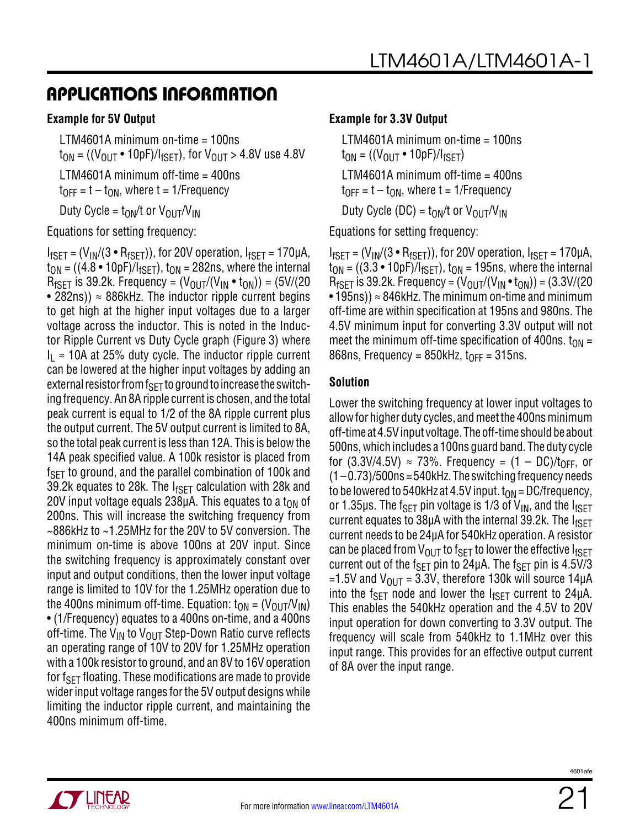#### **Example for 5V Output**

LTM4601A minimum on-time = 100ns  $t_{ON}$  = ((V<sub>OUT</sub> • 10pF)/I<sub>fSET</sub>), for V<sub>OUT</sub> > 4.8V use 4.8V LTM4601A minimum off-time = 400ns  $t_{\text{OFF}} = t - t_{\text{ON}}$ , where  $t = 1$ /Frequency Duty Cycle =  $t_{ON}/t$  or  $V_{OUT}/V_{IN}$ 

Equations for setting frequency:

 $I_{fSET} = (V_{IN}/(3 \cdot R_{fSET}))$ , for 20V operation,  $I_{fSET} = 170 \mu A$ ,  $t_{ON} = ((4.8 \cdot 10)F)/T_{fSET}$ ,  $t_{ON} = 282$ ns, where the internal  $R_{fSFT}$  is 39.2k. Frequency =  $(V_{OIIT}/(V_{IN} \cdot t_{ON})) = (5V/(20$ • 282ns))  $\approx$  886kHz. The inductor ripple current begins to get high at the higher input voltages due to a larger voltage across the inductor. This is noted in the Inductor Ripple Current vs Duty Cycle graph (Figure 3) where  $I_{\rm I} \approx 10$ A at 25% duty cycle. The inductor ripple current can be lowered at the higher input voltages by adding an external resistor from  $f_{\rm SFT}$  to ground to increase the switching frequency. An 8A ripple current is chosen, and the total peak current is equal to 1/2 of the 8A ripple current plus the output current. The 5V output current is limited to 8A, so the total peak current is less than 12A. This is below the 14A peak specified value. A 100k resistor is placed from  $f_{\text{SFT}}$  to ground, and the parallel combination of 100k and 39.2k equates to 28k. The  $I_{fSET}$  calculation with 28k and 20V input voltage equals 238 $\mu$ A. This equates to a t<sub>ON</sub> of 200ns. This will increase the switching frequency from ~886kHz to ~1.25MHz for the 20V to 5V conversion. The minimum on-time is above 100ns at 20V input. Since the switching frequency is approximately constant over input and output conditions, then the lower input voltage range is limited to 10V for the 1.25MHz operation due to the 400ns minimum off-time. Equation:  $t_{ON} = (V_{OUT}/V_{IN})$ • (1/Frequency) equates to a 400ns on-time, and a 400ns off-time. The  $V_{IM}$  to  $V_{OIII}$  Step-Down Ratio curve reflects an operating range of 10V to 20V for 1.25MHz operation with a 100k resistor to ground, and an 8V to 16V operation for f $_{\rm SFT}$  floating. These modifications are made to provide wider input voltage ranges for the 5V output designs while limiting the inductor ripple current, and maintaining the 400ns minimum off-time.

#### **Example for 3.3V Output**

LTM4601A minimum on-time = 100ns  $t_{ON} = ((V_{OUT} \cdot 10pF)/I_{fSET})$ LTM4601A minimum off-time = 400ns  $t_{OFF} = t - t_{ON}$ , where  $t = 1/F$ requency Duty Cycle (DC) =  $t_{ON}/t$  or  $V_{OII}T/V_{IN}$ 

Equations for setting frequency:

 $I_{fSET} = (V_{IN}/(3 \cdot R_{fSET}))$ , for 20V operation,  $I_{fSET} = 170 \mu A$ ,  $t_{ON} = ((3.3 \cdot 10pF)/I_{fSET})$ ,  $t_{ON} = 195$ ns, where the internal  $R_{fSFT}$  is 39.2k. Frequency =  $(V_{OIIT}/(V_{IN} \cdot t_{ON})) = (3.3 V/(20$ • 195ns))  $\approx$  846kHz. The minimum on-time and minimum off-time are within specification at 195ns and 980ns. The 4.5V minimum input for converting 3.3V output will not meet the minimum off-time specification of 400ns.  $t_{ON}$  = 868ns, Frequency = 850kHz,  $t_{OFF}$  = 315ns.

#### **Solution**

Lower the switching frequency at lower input voltages to allow for higher duty cycles, and meet the 400ns minimum off-time at 4.5V input voltage. The off-time should be about 500ns, which includes a 100ns guard band. The duty cycle for (3.3V/4.5V)  $\approx$  73%. Frequency = (1 – DC)/t<sub>OFF</sub>, or  $(1 - 0.73)/500$ ns = 540kHz. The switching frequency needs to be lowered to 540kHz at 4.5V input.  $t_{ON}$  = DC/frequency, or 1.35µs. The f<sub>SFT</sub> pin voltage is 1/3 of  $V_{\text{IN}}$ , and the  $I_{\text{fSFT}}$ current equates to 38 $\mu$ A with the internal 39.2k. The  $I_{fSFT}$ current needs to be 24µA for 540kHz operation. A resistor can be placed from  $V_{\text{OUT}}$  to f<sub>SET</sub> to lower the effective  $I_{fSET}$ current out of the f<sub>SFT</sub> pin to 24 $\mu$ A. The f<sub>SFT</sub> pin is 4.5V/3 =1.5V and  $V_{\text{OUT}}$  = 3.3V, therefore 130k will source 14 $\mu$ A into the f<sub>SET</sub> node and lower the  $I_{fSET}$  current to 24 $\mu$ A. This enables the 540kHz operation and the 4.5V to 20V input operation for down converting to 3.3V output. The frequency will scale from 540kHz to 1.1MHz over this input range. This provides for an effective output current of 8A over the input range.

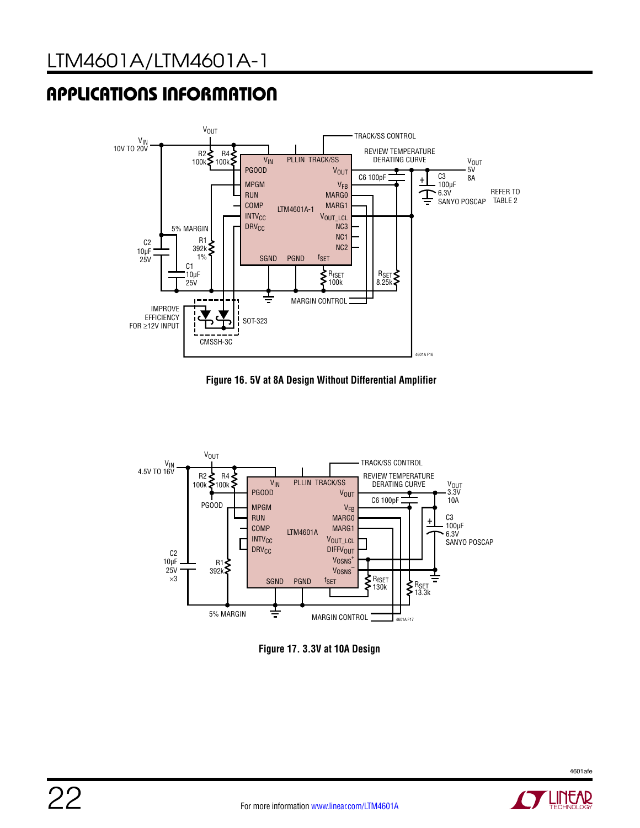

**Figure 16. 5V at 8A Design Without Differential Amplifier**



**Figure 17. 3.3V at 10A Design**

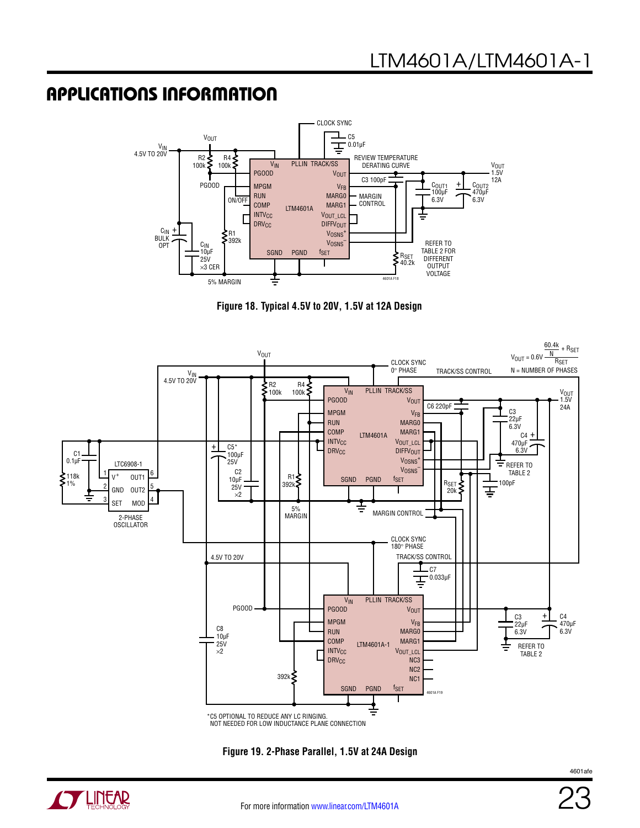

**Figure 18. Typical 4.5V to 20V, 1.5V at 12A Design**



**Figure 19. 2-Phase Parallel, 1.5V at 24A Design**

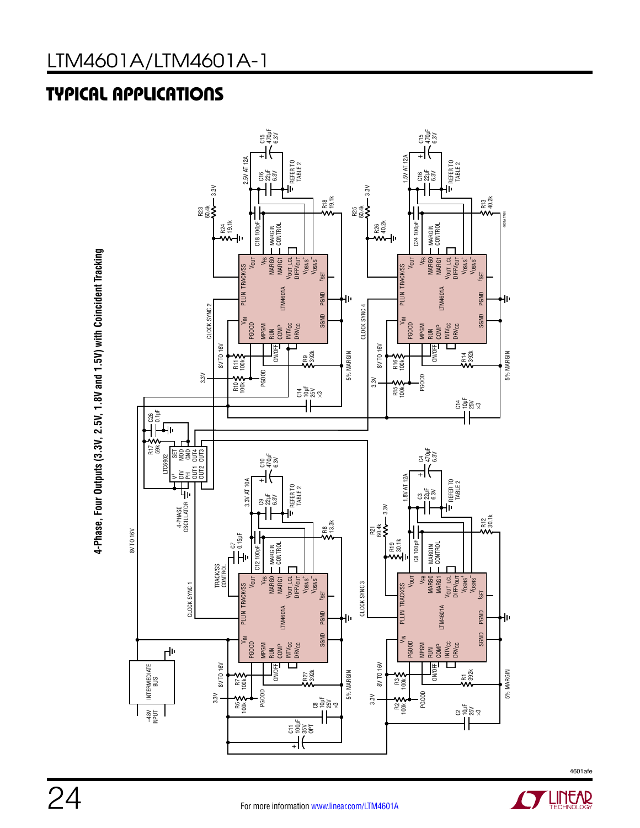# TYPICAL APPLICATIONS





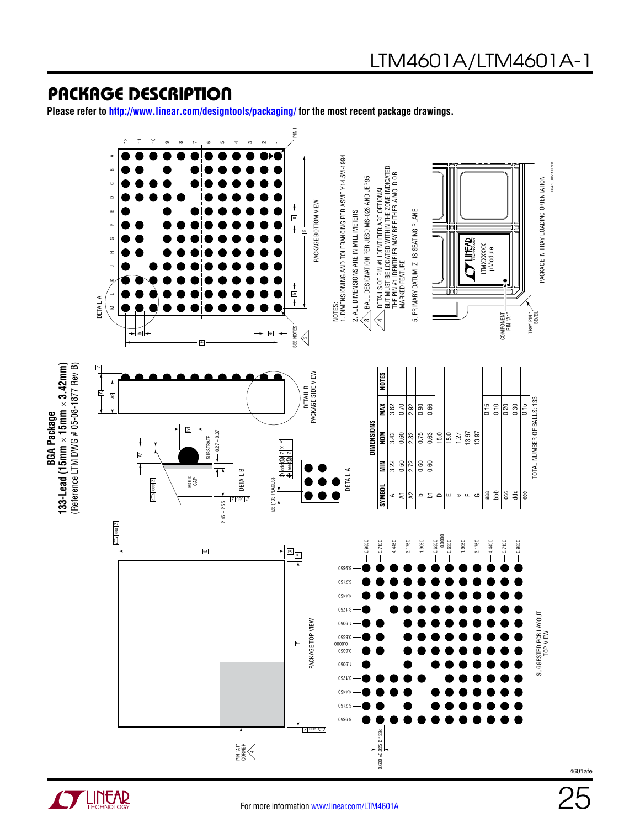**Please refer to http://www.linear.com/designtools/packaging/ for the most recent package drawings.**



**OF LINEAR** 

**BGA Package**

**BGA Package**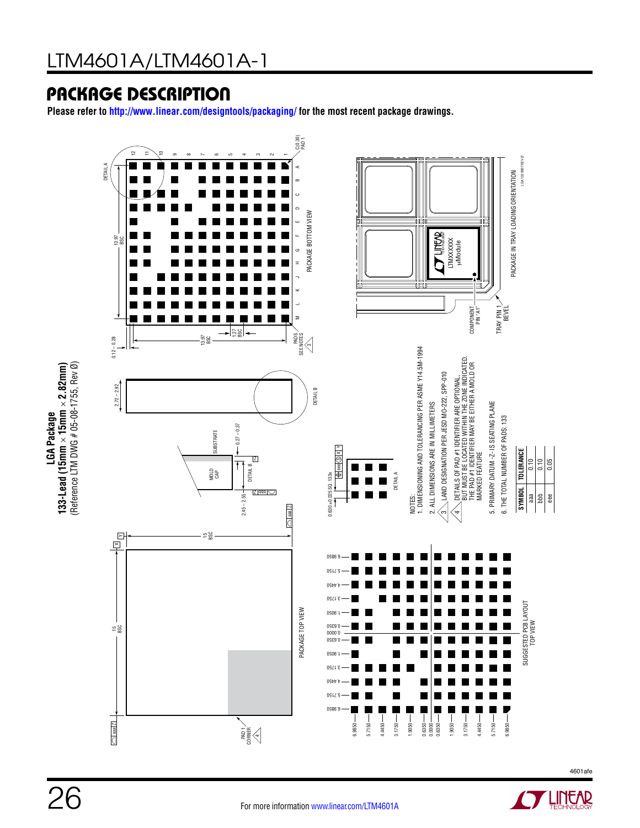**Please refer to http://www.linear.com/designtools/packaging/ for the most recent package drawings.**





**LGA Package**

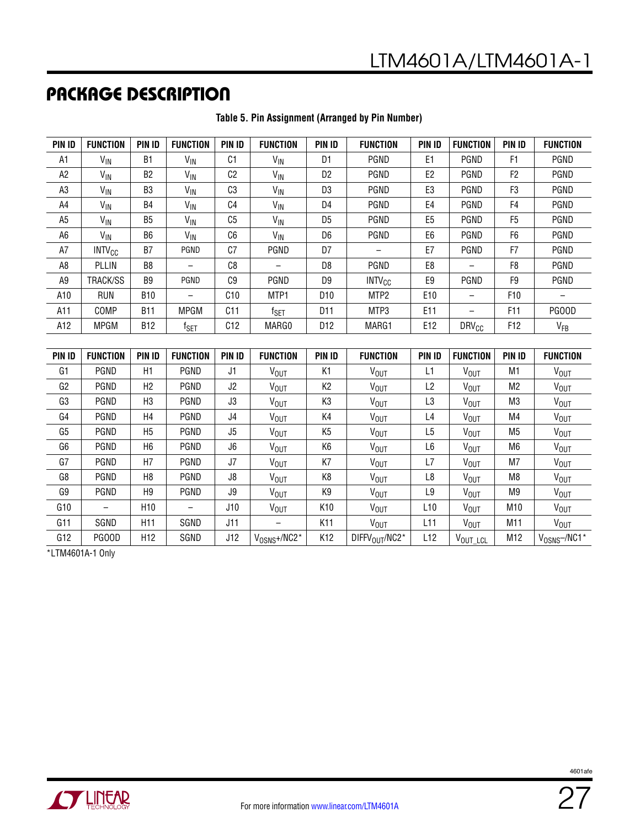| <b>PIN ID</b>  | <b>FUNCTION</b>          | <b>PIN ID</b>  | <b>FUNCTION</b>             | PIN ID         | <b>FUNCTION</b>       | <b>PIN ID</b>   | <b>FUNCTION</b>  | <b>PIN ID</b>   | <b>FUNCTION</b>  | <b>PIN ID</b>   | <b>FUNCTION</b>  |
|----------------|--------------------------|----------------|-----------------------------|----------------|-----------------------|-----------------|------------------|-----------------|------------------|-----------------|------------------|
| A1             | V <sub>IN</sub>          | <b>B1</b>      | $V_{\text{IN}}$             | C1             | $V_{\text{IN}}$       | D <sub>1</sub>  | <b>PGND</b>      | E1              | <b>PGND</b>      | F1              | <b>PGND</b>      |
| A <sub>2</sub> | V <sub>IN</sub>          | B <sub>2</sub> | $V_{\text{IN}}$             | C <sub>2</sub> | $V_{\text{IN}}$       | D <sub>2</sub>  | PGND             | E <sub>2</sub>  | PGND             | F2              | PGND             |
| A3             | V <sub>IN</sub>          | B <sub>3</sub> | V <sub>IN</sub>             | C <sub>3</sub> | $V_{\text{IN}}$       | D <sub>3</sub>  | PGND             | E3              | PGND             | F3              | PGND             |
| A4             | V <sub>IN</sub>          | <b>B4</b>      | V <sub>IN</sub>             | C <sub>4</sub> | V <sub>IN</sub>       | D <sub>4</sub>  | PGND             | E4              | PGND             | F4              | PGND             |
| A5             | V <sub>IN</sub>          | <b>B5</b>      | V <sub>IN</sub>             | C <sub>5</sub> | <b>V<sub>IN</sub></b> | D <sub>5</sub>  | PGND             | E <sub>5</sub>  | PGND             | F <sub>5</sub>  | <b>PGND</b>      |
| A6             | $V_{IN}$                 | B <sub>6</sub> | $V_{\text{IN}}$             | C <sub>6</sub> | $V_{\text{IN}}$       | D <sub>6</sub>  | PGND             | E <sub>6</sub>  | PGND             | F6              | PGND             |
| A7             | <b>INTV<sub>CC</sub></b> | B7             | <b>PGND</b>                 | C7             | PGND                  | D7              |                  | E7              | <b>PGND</b>      | F7              | <b>PGND</b>      |
| A8             | <b>PLLIN</b>             | B8             |                             | C <sub>8</sub> |                       | D <sub>8</sub>  | PGND             | E8              |                  | F8              | <b>PGND</b>      |
| A9             | TRACK/SS                 | B <sub>9</sub> | <b>PGND</b>                 | C9             | PGND                  | D9              | $INTV_{CC}$      | E9              | <b>PGND</b>      | F9              | PGND             |
| A10            | <b>RUN</b>               | <b>B10</b>     |                             | C10            | MTP1                  | D <sub>10</sub> | MTP2             | E <sub>10</sub> |                  | F <sub>10</sub> | $\qquad \qquad$  |
| A11            | COMP                     | <b>B11</b>     | <b>MPGM</b>                 | C11            | $f_{\sf SET}$         | D <sub>11</sub> | MTP3             | E11             | $\qquad \qquad$  | F <sub>11</sub> | PG00D            |
| A12            | <b>MPGM</b>              | <b>B12</b>     | $\mathsf{f}_{\mathsf{SET}}$ | C12            | MARG0                 | D12             | MARG1            | E12             | $DRV_{CC}$       | F12             | V <sub>FB</sub>  |
|                |                          |                |                             |                |                       |                 |                  |                 |                  |                 |                  |
| <b>PIN IN</b>  | <b>FIINCTION</b>         | <b>PIN IN</b>  | <b>FUNCTION</b>             | <b>PIN IN</b>  | <b>FIINCTION</b>      | <b>PIN IN</b>   | <b>FIINCTION</b> | <b>PIN IN</b>   | <b>FIINCTION</b> | <b>PIN IN</b>   | <b>FIINCTION</b> |

#### **Table 5. Pin Assignment (Arranged by Pin Number)**

| <b>PIN ID</b>  | <b>FUNCTION</b>          | PIN ID          | <b>FUNCTION</b> | PIN ID | <b>FUNCTION</b>        | <b>PIN ID</b>   | <b>FUNCTION</b>        | PIN ID         | <b>FUNCTION</b>  | PIN ID          | <b>FUNCTION</b>        |
|----------------|--------------------------|-----------------|-----------------|--------|------------------------|-----------------|------------------------|----------------|------------------|-----------------|------------------------|
| G1             | PGND                     | H1              | PGND            | J1     | V <sub>OUT</sub>       | K1              | V <sub>OUT</sub>       | L1             | <b>VOUT</b>      | M1              | <b>V<sub>OUT</sub></b> |
| G <sub>2</sub> | PGND                     | H <sub>2</sub>  | PGND            | J2     | V <sub>OUT</sub>       | К2              | <b>V<sub>OUT</sub></b> | L <sub>2</sub> | <b>VOUT</b>      | M <sub>2</sub>  | V <sub>OUT</sub>       |
| G3             | PGND                     | H <sub>3</sub>  | PGND            | J3     | V <sub>OUT</sub>       | K3              | V <sub>OUT</sub>       | L3             | V <sub>OUT</sub> | M3              | V <sub>OUT</sub>       |
| G4             | PGND                     | H <sub>4</sub>  | PGND            | J4     | <b>VOUT</b>            | K4              | <b>VOUT</b>            | L4             | <b>VOUT</b>      | M4              | <b>VOUT</b>            |
| G <sub>5</sub> | PGND                     | H <sub>5</sub>  | PGND            | J5     | <b>VOUT</b>            | K <sub>5</sub>  | <b>VOUT</b>            | L5             | <b>VOUT</b>      | M5              | <b>VOUT</b>            |
| G6             | PGND                     | H <sub>6</sub>  | PGND            | J6     | <b>VOUT</b>            | K6              | <b>VOUT</b>            | L6             | <b>VOUT</b>      | M6              | <b>VOUT</b>            |
| G7             | PGND                     | H7              | PGND            | J7     | <b>VOUT</b>            | K7              | V <sub>OUT</sub>       | L7             | <b>VOUT</b>      | M7              | <b>V<sub>OUT</sub></b> |
| G8             | PGND                     | H8              | PGND            | J8     | <b>VOUT</b>            | K8              | V <sub>OUT</sub>       | L8             | <b>VOUT</b>      | M8              | <b>V<sub>OUT</sub></b> |
| G9             | PGND                     | H <sub>9</sub>  | PGND            | J9     | <b>V<sub>OUT</sub></b> | K9              | <b>V<sub>OUT</sub></b> | L9             | V <sub>OUT</sub> | M <sub>9</sub>  | <b>V<sub>OUT</sub></b> |
| G10            | $\overline{\phantom{0}}$ | H <sub>10</sub> |                 | J10    | <b>V<sub>OUT</sub></b> | K10             | V <sub>OUT</sub>       | L10            | <b>VOUT</b>      | M <sub>10</sub> | <b>V<sub>OUT</sub></b> |
| G11            | SGND                     | H <sub>11</sub> | SGND            | J11    |                        | K <sub>11</sub> | V <sub>OUT</sub>       | L11            | <b>VOUT</b>      | M11             | <b>V<sub>OUT</sub></b> |
| G12            | PG00D                    | H <sub>12</sub> | SGND            | J12    | $V_{OSNS} + / NC2*$    | K12             | DIFFV $_{OIII}$ /NC2*  | L12            | VOUT_LCL         | M12             | $V_{OSNS}$ -/NC1*      |

\*LTM4601A-1 Only

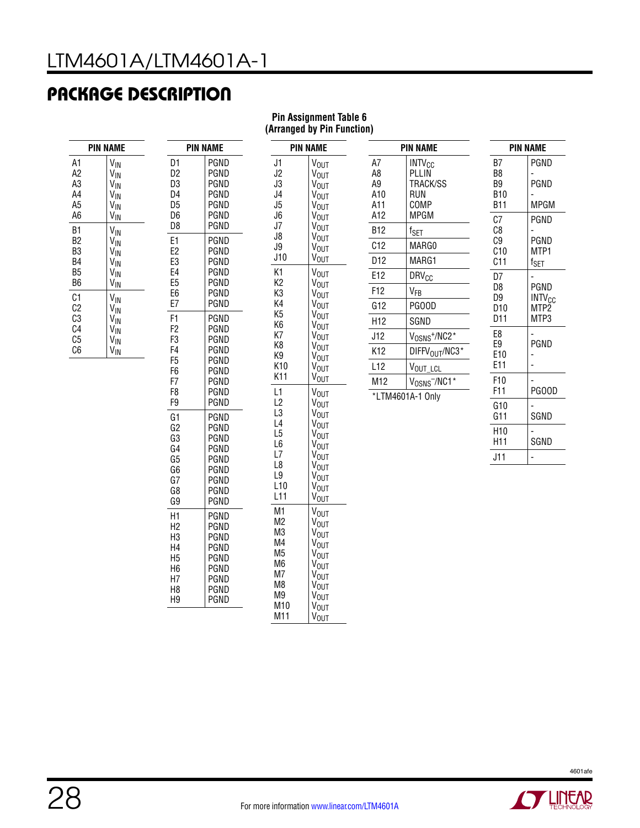A1 A2 A3 A4 A5 A6

B1 B2 B3 B4 B5 B6

 $C<sub>1</sub>$ C2 C3  $C<sub>4</sub>$ C5 C6

| <b>PIN NAME</b>                                                                                                                                      |                                                                | <b>PIN NAME</b>                                                      |  |  |
|------------------------------------------------------------------------------------------------------------------------------------------------------|----------------------------------------------------------------|----------------------------------------------------------------------|--|--|
| V <sub>IN</sub><br>V <sub>IN</sub><br>V <sub>IN</sub><br>V <sub>IN</sub><br>$V_{\text{IN}}$<br>V <sub>IN</sub>                                       | D1<br>D <sub>2</sub><br>D3<br>D4<br>D <sub>5</sub><br>D6<br>D8 | PGND<br>PGND<br>PGND<br>PGND<br>PGND<br>PGND<br>PGND                 |  |  |
| V <sub>IN</sub><br>V <sub>IN</sub><br>V <sub>IN</sub><br>V <sub>IN</sub><br>V <sub>IN</sub><br>V <sub>IN</sub><br>V <sub>IN</sub><br>$V_{\text{IN}}$ | E1<br>E <sub>2</sub><br>E3<br>E4<br>E5<br>E <sub>6</sub><br>E7 | PGND<br>PGND<br>PGND<br>PGND<br>PGND<br>PGND<br>PGND                 |  |  |
| V <sub>IN</sub><br>V <sub>IN</sub><br>V <sub>IN</sub><br>V <sub>IN</sub>                                                                             | F1<br>F2<br>F3<br>F4<br>F5<br>F6<br>F7<br>F <sub>8</sub><br>F9 | PGND<br>PGND<br>PGND<br>PGND<br>PGND<br>PGND<br>PGND<br>PGND<br>PGND |  |  |
|                                                                                                                                                      | G1<br>G <sub>2</sub><br>G3<br>G4<br>G5<br>G6<br>G7<br>G8<br>G9 | PGND<br>PGND<br>PGND<br>PGND<br>PGND<br>PGND<br>PGND<br>PGND<br>PGND |  |  |

H1 H2 H3 H4 H5 H6 H7 H8 H9 PGND PGND PGND PGND PGND PGND PGND PGND PGND

#### **Pin Assignment Table 6 (Arranged by Pin Function)**

J1 J2 J3 J4 J5 J6  $J7$ J8 J9 J10

K1 K2 K3 K4 K5 K6 K7 K8 K9 K10 K11

L1 L2 L3 L4 L5 L6 L7 L8 L9 L10 L11

M1 M2 M3 M4 M5 M6 M<sub>7</sub> M8 M9 M10 M11

|                                                                                                              |                                     | <b>PIN NAME</b>                                                             | <b>PIN NAME</b>                            |                            |  |
|--------------------------------------------------------------------------------------------------------------|-------------------------------------|-----------------------------------------------------------------------------|--------------------------------------------|----------------------------|--|
| <b>PIN NAME</b>                                                                                              |                                     |                                                                             |                                            |                            |  |
| <b>V<sub>OUT</sub></b><br>V <sub>OUT</sub><br>V <sub>OUT</sub><br><b>V<sub>OUT</sub></b><br>V <sub>OUT</sub> | A7<br>A8<br>A9<br>A10<br>A11<br>A12 | <b>INTV<sub>CC</sub></b><br>PLLIN<br>TRACK/SS<br>RUN<br>COMP<br><b>MPGM</b> | B7<br>B8<br>B9<br><b>B10</b><br><b>B11</b> | PGND<br>PGND<br>MPGM       |  |
| $V_{OUT}$<br><b>V<sub>OUT</sub></b>                                                                          | <b>B12</b>                          | f <sub>SET</sub>                                                            | C <sub>7</sub><br>C8                       | PGND                       |  |
| V <sub>OUT</sub><br>V <sub>OUT</sub>                                                                         | C12                                 | MARG0                                                                       | C <sub>9</sub><br>C10                      | PGND<br>MTP1               |  |
| <b>V<sub>OUT</sub></b>                                                                                       | D <sub>12</sub>                     | MARG1                                                                       | C11                                        | f <sub>SET</sub>           |  |
| $V_{OUT}$                                                                                                    | E12                                 | <b>DRV<sub>CC</sub></b>                                                     | D7                                         |                            |  |
| V <sub>OUT</sub><br><b>VOUT</b>                                                                              | F12                                 | $V_{FB}$                                                                    | D <sub>8</sub><br>D9                       | PGND<br>INTV <sub>CC</sub> |  |
| V <sub>OUT</sub>                                                                                             | G12                                 | PGOOD                                                                       | D <sub>10</sub><br>D11                     | MTP <sub>2</sub>           |  |
| V <sub>OUT</sub><br><b>V<sub>OUT</sub></b>                                                                   | H <sub>12</sub>                     | SGND                                                                        |                                            | MTP3                       |  |
| <b>V<sub>OUT</sub></b>                                                                                       | J12                                 | V <sub>OSNS</sub> <sup>+</sup> /NC2*                                        | E8<br>E9                                   | PGND                       |  |
| V <sub>OUT</sub><br><b>V<sub>OUT</sub></b>                                                                   | K12                                 | DIFFV <sub>OUT</sub> /NC3*                                                  | E10                                        |                            |  |
| V <sub>OUT</sub>                                                                                             | L12                                 | VOUT_LCL                                                                    | E11                                        |                            |  |
| $V_{OUT}$<br><b>VOUT</b>                                                                                     | M12                                 | V <sub>OSNS</sub> -/NC1*                                                    | F10<br>F11                                 | PGOOD                      |  |
| $V_{OUT}$<br>V <sub>OUT</sub><br>V <sub>OUT</sub>                                                            |                                     | *LTM4601A-1 Only                                                            | G10<br>G11                                 | SGND                       |  |
| $V_{OUT}$<br><b>V<sub>OUT</sub></b>                                                                          |                                     |                                                                             | H <sub>10</sub><br>H11                     | SGND                       |  |
| V <sub>OUT</sub><br>V <sub>OUT</sub>                                                                         |                                     |                                                                             | J11                                        | $\overline{a}$             |  |
| V <sub>OUT</sub><br><b>V<sub>OUT</sub></b><br>$V_{OUT}$                                                      |                                     |                                                                             |                                            |                            |  |
| <b>VOUT</b><br>V <sub>OUT</sub><br>$V_{OUT}$<br><b>V<sub>OUT</sub></b><br>V <sub>OUT</sub>                   |                                     |                                                                             |                                            |                            |  |



VOUT V<sub>OUT</sub> V<sub>OUT</sub> V<sub>OUT</sub> **V**<sub>OUT</sub> **VOUT**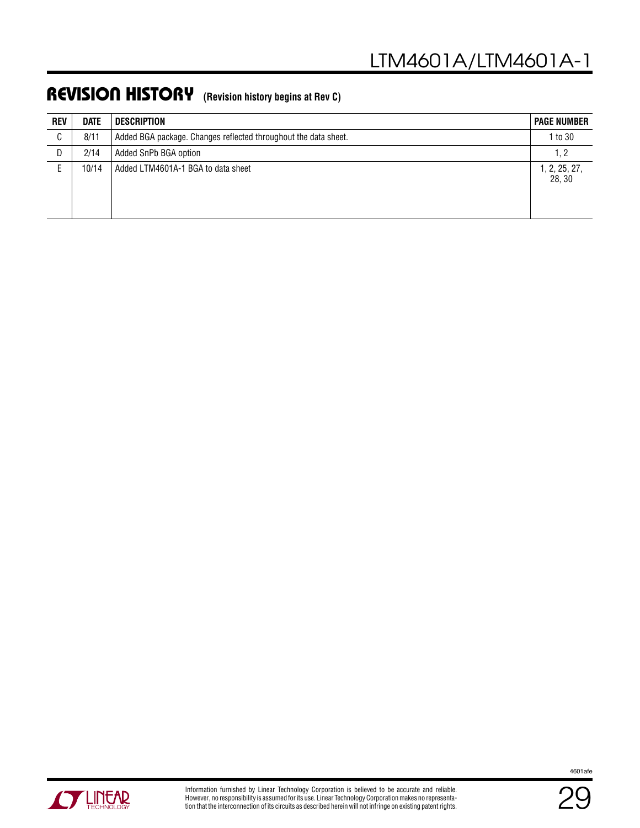| <b>REV</b> | <b>DATE</b> | <b>DESCRIPTION</b>                                              | <b>PAGE NUMBER</b>      |
|------------|-------------|-----------------------------------------------------------------|-------------------------|
| C          | 8/11        | Added BGA package. Changes reflected throughout the data sheet. | 1 to 30                 |
| D          | 2/14        | Added SnPb BGA option                                           | 1, 2                    |
|            | 10/14       | Added LTM4601A-1 BGA to data sheet                              | 1, 2, 25, 27,<br>28, 30 |

### REVISION HISTORY **(Revision history begins at Rev C)**